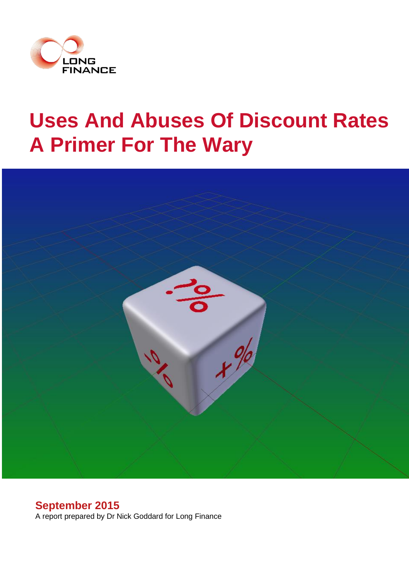

# **Uses And Abuses Of Discount Rates A Primer For The Wary**



# **September 2015**

A report prepared by Dr Nick Goddard for Long Finance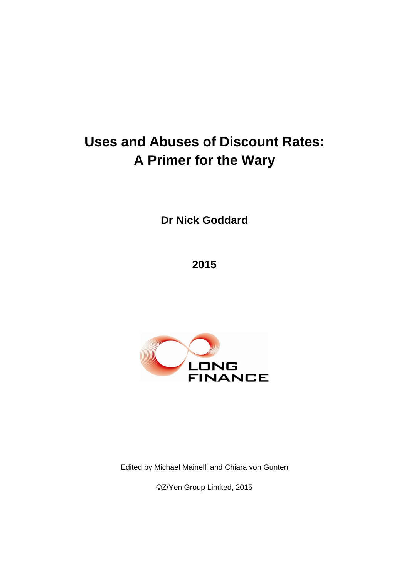# **Uses and Abuses of Discount Rates: A Primer for the Wary**

**Dr Nick Goddard**

**2015**



Edited by Michael Mainelli and Chiara von Gunten

©Z/Yen Group Limited, 2015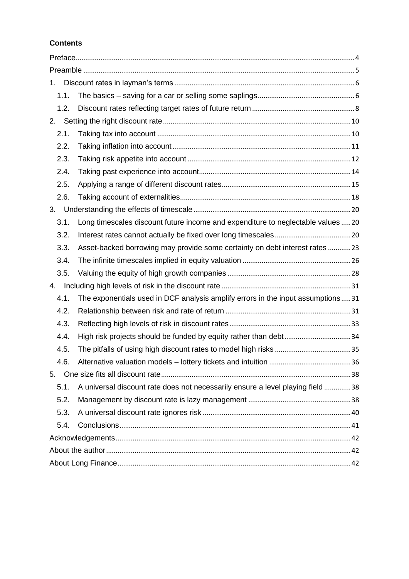# **Contents**

| 1.   |                                                                                  |  |
|------|----------------------------------------------------------------------------------|--|
| 1.1. |                                                                                  |  |
| 1.2. |                                                                                  |  |
| 2.   |                                                                                  |  |
| 2.1. |                                                                                  |  |
| 2.2. |                                                                                  |  |
| 2.3. |                                                                                  |  |
| 2.4. |                                                                                  |  |
| 2.5. |                                                                                  |  |
| 2.6. |                                                                                  |  |
| 3.   |                                                                                  |  |
| 3.1. | Long timescales discount future income and expenditure to neglectable values  20 |  |
| 3.2. |                                                                                  |  |
| 3.3. | Asset-backed borrowing may provide some certainty on debt interest rates 23      |  |
| 3.4. |                                                                                  |  |
| 3.5. |                                                                                  |  |
| 4.   |                                                                                  |  |
| 4.1. | The exponentials used in DCF analysis amplify errors in the input assumptions31  |  |
| 4.2. |                                                                                  |  |
| 4.3. |                                                                                  |  |
| 4.4. | High risk projects should be funded by equity rather than debt34                 |  |
| 4.5. |                                                                                  |  |
| 4.6. |                                                                                  |  |
|      |                                                                                  |  |
| 5.1. | A universal discount rate does not necessarily ensure a level playing field 38   |  |
| 5.2. |                                                                                  |  |
| 5.3. |                                                                                  |  |
| 5.4. |                                                                                  |  |
|      |                                                                                  |  |
|      |                                                                                  |  |
|      |                                                                                  |  |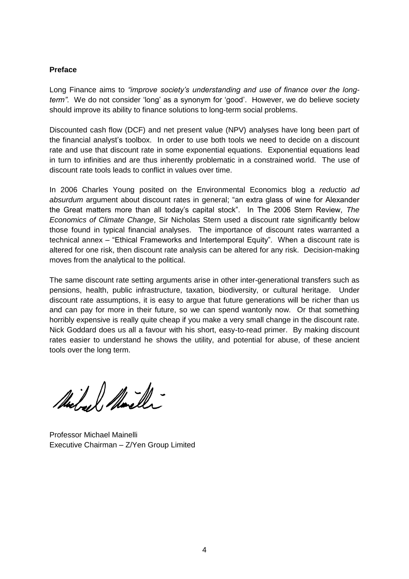#### **Preface**

Long Finance aims to *"improve society's understanding and use of finance over the longterm"*. We do not consider 'long' as a synonym for 'good'. However, we do believe society should improve its ability to finance solutions to long-term social problems.

Discounted cash flow (DCF) and net present value (NPV) analyses have long been part of the financial analyst's toolbox. In order to use both tools we need to decide on a discount rate and use that discount rate in some exponential equations. Exponential equations lead in turn to infinities and are thus inherently problematic in a constrained world. The use of discount rate tools leads to conflict in values over time.

In 2006 Charles Young posited on the Environmental Economics blog a *reductio ad absurdum* argument about discount rates in general; "an extra glass of wine for Alexander the Great matters more than all today's capital stock". In The 2006 Stern Review, *The Economics of Climate Change*, Sir Nicholas Stern used a discount rate significantly below those found in typical financial analyses. The importance of discount rates warranted a technical annex – "Ethical Frameworks and Intertemporal Equity". When a discount rate is altered for one risk, then discount rate analysis can be altered for any risk. Decision-making moves from the analytical to the political.

The same discount rate setting arguments arise in other inter-generational transfers such as pensions, health, public infrastructure, taxation, biodiversity, or cultural heritage. Under discount rate assumptions, it is easy to argue that future generations will be richer than us and can pay for more in their future, so we can spend wantonly now. Or that something horribly expensive is really quite cheap if you make a very small change in the discount rate. Nick Goddard does us all a favour with his short, easy-to-read primer. By making discount rates easier to understand he shows the utility, and potential for abuse, of these ancient tools over the long term.

Michael Marcher

Professor Michael Mainelli Executive Chairman – Z/Yen Group Limited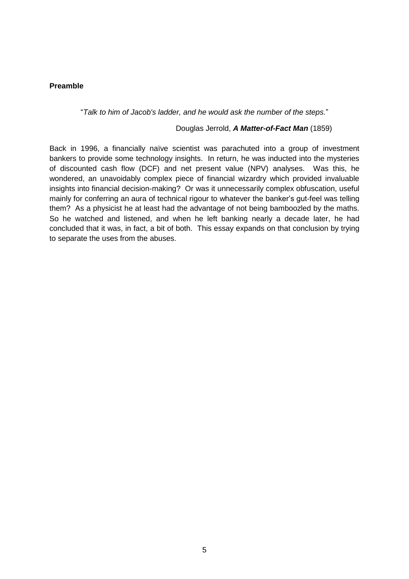#### **Preamble**

"*Talk to him of Jacob's ladder, and he would ask the number of the steps.*"

#### Douglas Jerrold, *A Matter-of-Fact Man* (1859)

Back in 1996, a financially naïve scientist was parachuted into a group of investment bankers to provide some technology insights. In return, he was inducted into the mysteries of discounted cash flow (DCF) and net present value (NPV) analyses. Was this, he wondered, an unavoidably complex piece of financial wizardry which provided invaluable insights into financial decision-making? Or was it unnecessarily complex obfuscation, useful mainly for conferring an aura of technical rigour to whatever the banker's gut-feel was telling them? As a physicist he at least had the advantage of not being bamboozled by the maths. So he watched and listened, and when he left banking nearly a decade later, he had concluded that it was, in fact, a bit of both. This essay expands on that conclusion by trying to separate the uses from the abuses.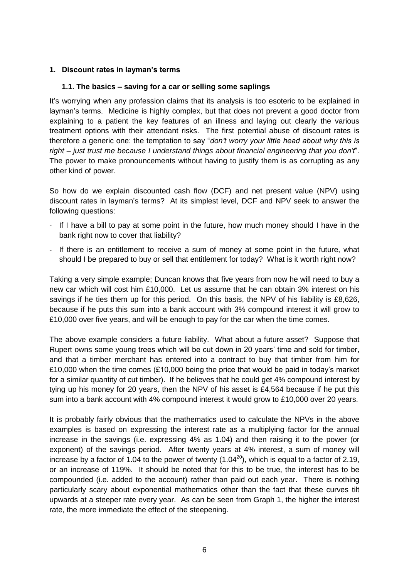#### **1. Discount rates in layman's terms**

#### **1.1. The basics – saving for a car or selling some saplings**

It's worrying when any profession claims that its analysis is too esoteric to be explained in layman's terms. Medicine is highly complex, but that does not prevent a good doctor from explaining to a patient the key features of an illness and laying out clearly the various treatment options with their attendant risks. The first potential abuse of discount rates is therefore a generic one: the temptation to say "*don't worry your little head about why this is right – just trust me because I understand things about financial engineering that you don't*". The power to make pronouncements without having to justify them is as corrupting as any other kind of power.

So how do we explain discounted cash flow (DCF) and net present value (NPV) using discount rates in layman's terms? At its simplest level, DCF and NPV seek to answer the following questions:

- If I have a bill to pay at some point in the future, how much money should I have in the bank right now to cover that liability?
- If there is an entitlement to receive a sum of money at some point in the future, what should I be prepared to buy or sell that entitlement for today? What is it worth right now?

Taking a very simple example; Duncan knows that five years from now he will need to buy a new car which will cost him £10,000. Let us assume that he can obtain 3% interest on his savings if he ties them up for this period. On this basis, the NPV of his liability is £8,626, because if he puts this sum into a bank account with 3% compound interest it will grow to £10,000 over five years, and will be enough to pay for the car when the time comes.

The above example considers a future liability. What about a future asset? Suppose that Rupert owns some young trees which will be cut down in 20 years' time and sold for timber, and that a timber merchant has entered into a contract to buy that timber from him for £10,000 when the time comes (£10,000 being the price that would be paid in today's market for a similar quantity of cut timber). If he believes that he could get 4% compound interest by tying up his money for 20 years, then the NPV of his asset is £4,564 because if he put this sum into a bank account with 4% compound interest it would grow to £10,000 over 20 years.

It is probably fairly obvious that the mathematics used to calculate the NPVs in the above examples is based on expressing the interest rate as a multiplying factor for the annual increase in the savings (i.e. expressing 4% as 1.04) and then raising it to the power (or exponent) of the savings period. After twenty years at 4% interest, a sum of money will increase by a factor of 1.04 to the power of twenty (1.04 $^{20}$ ), which is equal to a factor of 2.19, or an increase of 119%. It should be noted that for this to be true, the interest has to be compounded (i.e. added to the account) rather than paid out each year. There is nothing particularly scary about exponential mathematics other than the fact that these curves tilt upwards at a steeper rate every year. As can be seen from Graph 1, the higher the interest rate, the more immediate the effect of the steepening.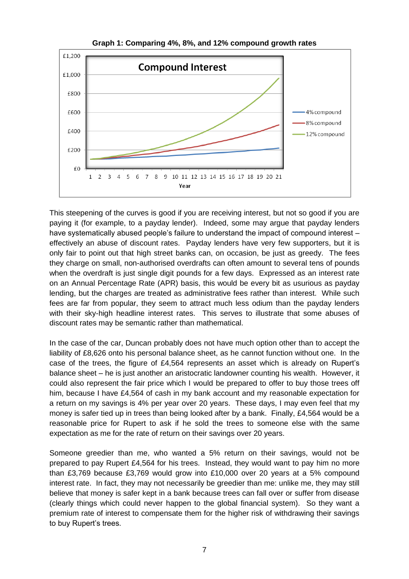

**Graph 1: Comparing 4%, 8%, and 12% compound growth rates**

This steepening of the curves is good if you are receiving interest, but not so good if you are paying it (for example, to a payday lender). Indeed, some may argue that payday lenders have systematically abused people's failure to understand the impact of compound interest – effectively an abuse of discount rates. Payday lenders have very few supporters, but it is only fair to point out that high street banks can, on occasion, be just as greedy. The fees they charge on small, non-authorised overdrafts can often amount to several tens of pounds when the overdraft is just single digit pounds for a few days. Expressed as an interest rate on an Annual Percentage Rate (APR) basis, this would be every bit as usurious as payday lending, but the charges are treated as administrative fees rather than interest. While such fees are far from popular, they seem to attract much less odium than the payday lenders with their sky-high headline interest rates. This serves to illustrate that some abuses of discount rates may be semantic rather than mathematical.

In the case of the car, Duncan probably does not have much option other than to accept the liability of £8,626 onto his personal balance sheet, as he cannot function without one. In the case of the trees, the figure of £4,564 represents an asset which is already on Rupert's balance sheet – he is just another an aristocratic landowner counting his wealth. However, it could also represent the fair price which I would be prepared to offer to buy those trees off him, because I have £4,564 of cash in my bank account and my reasonable expectation for a return on my savings is 4% per year over 20 years. These days, I may even feel that my money is safer tied up in trees than being looked after by a bank. Finally, £4,564 would be a reasonable price for Rupert to ask if he sold the trees to someone else with the same expectation as me for the rate of return on their savings over 20 years.

Someone greedier than me, who wanted a 5% return on their savings, would not be prepared to pay Rupert £4,564 for his trees. Instead, they would want to pay him no more than £3,769 because £3,769 would grow into £10,000 over 20 years at a 5% compound interest rate. In fact, they may not necessarily be greedier than me: unlike me, they may still believe that money is safer kept in a bank because trees can fall over or suffer from disease (clearly things which could never happen to the global financial system). So they want a premium rate of interest to compensate them for the higher risk of withdrawing their savings to buy Rupert's trees.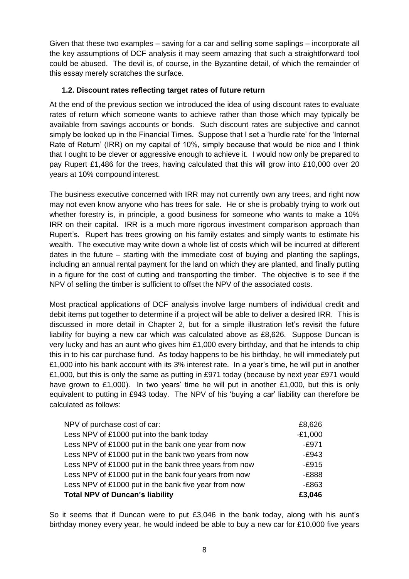Given that these two examples – saving for a car and selling some saplings – incorporate all the key assumptions of DCF analysis it may seem amazing that such a straightforward tool could be abused. The devil is, of course, in the Byzantine detail, of which the remainder of this essay merely scratches the surface.

# **1.2. Discount rates reflecting target rates of future return**

At the end of the previous section we introduced the idea of using discount rates to evaluate rates of return which someone wants to achieve rather than those which may typically be available from savings accounts or bonds. Such discount rates are subjective and cannot simply be looked up in the Financial Times. Suppose that I set a 'hurdle rate' for the 'Internal Rate of Return' (IRR) on my capital of 10%, simply because that would be nice and I think that I ought to be clever or aggressive enough to achieve it. I would now only be prepared to pay Rupert £1,486 for the trees, having calculated that this will grow into £10,000 over 20 years at 10% compound interest.

The business executive concerned with IRR may not currently own any trees, and right now may not even know anyone who has trees for sale. He or she is probably trying to work out whether forestry is, in principle, a good business for someone who wants to make a 10% IRR on their capital. IRR is a much more rigorous investment comparison approach than Rupert's. Rupert has trees growing on his family estates and simply wants to estimate his wealth. The executive may write down a whole list of costs which will be incurred at different dates in the future – starting with the immediate cost of buying and planting the saplings, including an annual rental payment for the land on which they are planted, and finally putting in a figure for the cost of cutting and transporting the timber. The objective is to see if the NPV of selling the timber is sufficient to offset the NPV of the associated costs.

Most practical applications of DCF analysis involve large numbers of individual credit and debit items put together to determine if a project will be able to deliver a desired IRR. This is discussed in more detail in Chapter 2, but for a simple illustration let's revisit the future liability for buying a new car which was calculated above as £8,626. Suppose Duncan is very lucky and has an aunt who gives him £1,000 every birthday, and that he intends to chip this in to his car purchase fund. As today happens to be his birthday, he will immediately put £1,000 into his bank account with its 3% interest rate. In a year's time, he will put in another £1,000, but this is only the same as putting in £971 today (because by next year £971 would have grown to £1,000). In two years' time he will put in another £1,000, but this is only equivalent to putting in £943 today. The NPV of his 'buying a car' liability can therefore be calculated as follows:

| NPV of purchase cost of car:                           | £8,626    |
|--------------------------------------------------------|-----------|
| Less NPV of £1000 put into the bank today              | $-£1,000$ |
| Less NPV of £1000 put in the bank one year from now    | $-E971$   |
| Less NPV of £1000 put in the bank two years from now   | $-E943$   |
| Less NPV of £1000 put in the bank three years from now | $-E915$   |
| Less NPV of £1000 put in the bank four years from now  | $-£888$   |
| Less NPV of £1000 put in the bank five year from now   | $-E863$   |
| <b>Total NPV of Duncan's liability</b>                 | £3,046    |

So it seems that if Duncan were to put £3,046 in the bank today, along with his aunt's birthday money every year, he would indeed be able to buy a new car for £10,000 five years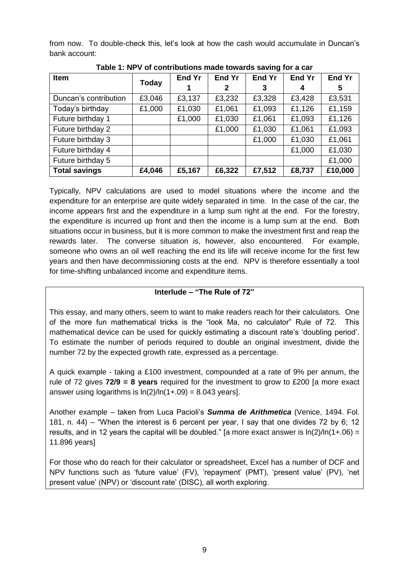from now. To double-check this, let's look at how the cash would accumulate in Duncan's bank account:

| Item                  |        | <b>End Yr</b> | <b>End Yr</b> | <b>End Yr</b> | <b>End Yr</b> | <b>End Yr</b> |
|-----------------------|--------|---------------|---------------|---------------|---------------|---------------|
|                       | Today  |               | 2             | 3             | 4             | 5             |
| Duncan's contribution | £3,046 | £3,137        | £3,232        | £3,328        | £3,428        | £3,531        |
| Today's birthday      | £1,000 | £1,030        | £1,061        | £1,093        | £1,126        | £1,159        |
| Future birthday 1     |        | £1,000        | £1,030        | £1,061        | £1,093        | £1,126        |
| Future birthday 2     |        |               | £1,000        | £1,030        | £1,061        | £1,093        |
| Future birthday 3     |        |               |               | £1,000        | £1,030        | £1,061        |
| Future birthday 4     |        |               |               |               | £1,000        | £1,030        |
| Future birthday 5     |        |               |               |               |               | £1,000        |
| <b>Total savings</b>  | £4,046 | £5,167        | £6,322        | £7,512        | £8,737        | £10,000       |

| Table 1: NPV of contributions made towards saving for a car |  |  |
|-------------------------------------------------------------|--|--|
|-------------------------------------------------------------|--|--|

Typically, NPV calculations are used to model situations where the income and the expenditure for an enterprise are quite widely separated in time. In the case of the car, the income appears first and the expenditure in a lump sum right at the end. For the forestry, the expenditure is incurred up front and then the income is a lump sum at the end. Both situations occur in business, but it is more common to make the investment first and reap the rewards later. The converse situation is, however, also encountered. For example, someone who owns an oil well reaching the end its life will receive income for the first few years and then have decommissioning costs at the end. NPV is therefore essentially a tool for time-shifting unbalanced income and expenditure items.

#### **Interlude – "The Rule of 72"**

This essay, and many others, seem to want to make readers reach for their calculators. One of the more fun mathematical tricks is the "look Ma, no calculator" Rule of 72. This mathematical device can be used for quickly estimating a discount rate's 'doubling period'. To estimate the number of periods required to double an original investment, divide the number 72 by the expected growth rate, expressed as a percentage.

A quick example - taking a £100 investment, compounded at a rate of 9% per annum, the rule of 72 gives **72/9 = 8 years** required for the investment to grow to £200 [a more exact answer using logarithms is  $ln(2)/ln(1+.09) = 8.043$  years].

Another example – taken from Luca Pacioli's *Summa de Arithmetica* (Venice, 1494. Fol. 181, n. 44) – "When the interest is 6 percent per year, I say that one divides 72 by 6; 12 results, and in 12 years the capital will be doubled." [a more exact answer is  $\ln(2)/\ln(1+06) =$ 11.896 years]

For those who do reach for their calculator or spreadsheet, Excel has a number of DCF and NPV functions such as 'future value' (FV), 'repayment' (PMT), 'present value' (PV), 'net present value' (NPV) or 'discount rate' (DISC), all worth exploring.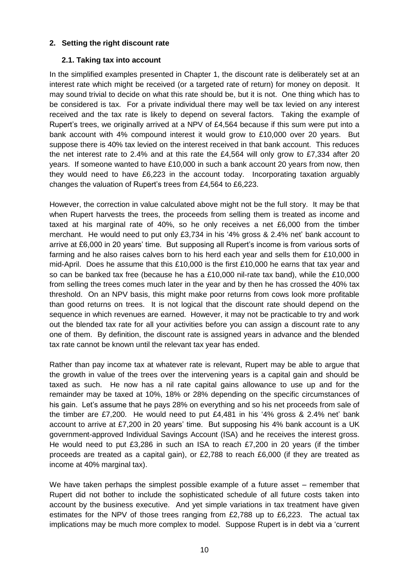#### **2. Setting the right discount rate**

#### **2.1. Taking tax into account**

In the simplified examples presented in Chapter 1, the discount rate is deliberately set at an interest rate which might be received (or a targeted rate of return) for money on deposit. It may sound trivial to decide on what this rate should be, but it is not. One thing which has to be considered is tax. For a private individual there may well be tax levied on any interest received and the tax rate is likely to depend on several factors. Taking the example of Rupert's trees, we originally arrived at a NPV of £4,564 because if this sum were put into a bank account with 4% compound interest it would grow to £10,000 over 20 years. But suppose there is 40% tax levied on the interest received in that bank account. This reduces the net interest rate to 2.4% and at this rate the £4,564 will only grow to £7,334 after 20 years. If someone wanted to have £10,000 in such a bank account 20 years from now, then they would need to have £6,223 in the account today. Incorporating taxation arguably changes the valuation of Rupert's trees from £4,564 to £6,223.

However, the correction in value calculated above might not be the full story. It may be that when Rupert harvests the trees, the proceeds from selling them is treated as income and taxed at his marginal rate of 40%, so he only receives a net £6,000 from the timber merchant. He would need to put only £3,734 in his '4% gross & 2.4% net' bank account to arrive at £6,000 in 20 years' time. But supposing all Rupert's income is from various sorts of farming and he also raises calves born to his herd each year and sells them for £10,000 in mid-April. Does he assume that this £10,000 is the first £10,000 he earns that tax year and so can be banked tax free (because he has a £10,000 nil-rate tax band), while the £10,000 from selling the trees comes much later in the year and by then he has crossed the 40% tax threshold. On an NPV basis, this might make poor returns from cows look more profitable than good returns on trees. It is not logical that the discount rate should depend on the sequence in which revenues are earned. However, it may not be practicable to try and work out the blended tax rate for all your activities before you can assign a discount rate to any one of them. By definition, the discount rate is assigned years in advance and the blended tax rate cannot be known until the relevant tax year has ended.

Rather than pay income tax at whatever rate is relevant, Rupert may be able to argue that the growth in value of the trees over the intervening years is a capital gain and should be taxed as such. He now has a nil rate capital gains allowance to use up and for the remainder may be taxed at 10%, 18% or 28% depending on the specific circumstances of his gain. Let's assume that he pays 28% on everything and so his net proceeds from sale of the timber are £7,200. He would need to put  $£4.481$  in his '4% gross & 2,4% net' bank account to arrive at £7,200 in 20 years' time. But supposing his 4% bank account is a UK government-approved Individual Savings Account (ISA) and he receives the interest gross. He would need to put £3,286 in such an ISA to reach £7,200 in 20 years (if the timber proceeds are treated as a capital gain), or £2,788 to reach £6,000 (if they are treated as income at 40% marginal tax).

We have taken perhaps the simplest possible example of a future asset – remember that Rupert did not bother to include the sophisticated schedule of all future costs taken into account by the business executive. And yet simple variations in tax treatment have given estimates for the NPV of those trees ranging from £2,788 up to £6,223. The actual tax implications may be much more complex to model. Suppose Rupert is in debt via a 'current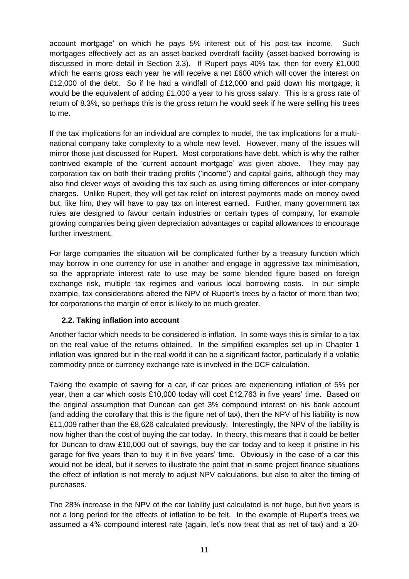account mortgage' on which he pays 5% interest out of his post-tax income. Such mortgages effectively act as an asset-backed overdraft facility (asset-backed borrowing is discussed in more detail in Section 3.3). If Rupert pays 40% tax, then for every £1,000 which he earns gross each year he will receive a net £600 which will cover the interest on £12,000 of the debt. So if he had a windfall of £12,000 and paid down his mortgage, it would be the equivalent of adding £1,000 a year to his gross salary. This is a gross rate of return of 8.3%, so perhaps this is the gross return he would seek if he were selling his trees to me.

If the tax implications for an individual are complex to model, the tax implications for a multinational company take complexity to a whole new level. However, many of the issues will mirror those just discussed for Rupert. Most corporations have debt, which is why the rather contrived example of the 'current account mortgage' was given above. They may pay corporation tax on both their trading profits ('income') and capital gains, although they may also find clever ways of avoiding this tax such as using timing differences or inter-company charges. Unlike Rupert, they will get tax relief on interest payments made on money owed but, like him, they will have to pay tax on interest earned. Further, many government tax rules are designed to favour certain industries or certain types of company, for example growing companies being given depreciation advantages or capital allowances to encourage further investment.

For large companies the situation will be complicated further by a treasury function which may borrow in one currency for use in another and engage in aggressive tax minimisation, so the appropriate interest rate to use may be some blended figure based on foreign exchange risk, multiple tax regimes and various local borrowing costs. In our simple example, tax considerations altered the NPV of Rupert's trees by a factor of more than two; for corporations the margin of error is likely to be much greater.

# **2.2. Taking inflation into account**

Another factor which needs to be considered is inflation. In some ways this is similar to a tax on the real value of the returns obtained. In the simplified examples set up in Chapter 1 inflation was ignored but in the real world it can be a significant factor, particularly if a volatile commodity price or currency exchange rate is involved in the DCF calculation.

Taking the example of saving for a car, if car prices are experiencing inflation of 5% per year, then a car which costs £10,000 today will cost £12,763 in five years' time. Based on the original assumption that Duncan can get 3% compound interest on his bank account (and adding the corollary that this is the figure net of tax), then the NPV of his liability is now £11,009 rather than the £8,626 calculated previously. Interestingly, the NPV of the liability is now higher than the cost of buying the car today. In theory, this means that it could be better for Duncan to draw £10,000 out of savings, buy the car today and to keep it pristine in his garage for five years than to buy it in five years' time. Obviously in the case of a car this would not be ideal, but it serves to illustrate the point that in some project finance situations the effect of inflation is not merely to adjust NPV calculations, but also to alter the timing of purchases.

The 28% increase in the NPV of the car liability just calculated is not huge, but five years is not a long period for the effects of inflation to be felt. In the example of Rupert's trees we assumed a 4% compound interest rate (again, let's now treat that as net of tax) and a 20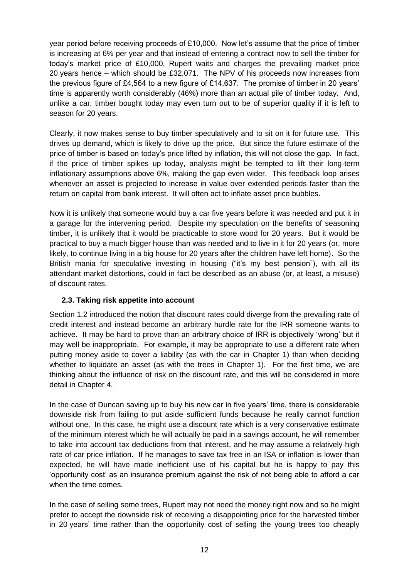year period before receiving proceeds of £10,000. Now let's assume that the price of timber is increasing at 6% per year and that instead of entering a contract now to sell the timber for today's market price of £10,000, Rupert waits and charges the prevailing market price 20 years hence – which should be £32,071. The NPV of his proceeds now increases from the previous figure of £4,564 to a new figure of £14,637. The promise of timber in 20 years' time is apparently worth considerably (46%) more than an actual pile of timber today. And, unlike a car, timber bought today may even turn out to be of superior quality if it is left to season for 20 years.

Clearly, it now makes sense to buy timber speculatively and to sit on it for future use. This drives up demand, which is likely to drive up the price. But since the future estimate of the price of timber is based on today's price lifted by inflation, this will not close the gap. In fact, if the price of timber spikes up today, analysts might be tempted to lift their long-term inflationary assumptions above 6%, making the gap even wider. This feedback loop arises whenever an asset is projected to increase in value over extended periods faster than the return on capital from bank interest. It will often act to inflate asset price bubbles.

Now it is unlikely that someone would buy a car five years before it was needed and put it in a garage for the intervening period. Despite my speculation on the benefits of seasoning timber, it is unlikely that it would be practicable to store wood for 20 years. But it would be practical to buy a much bigger house than was needed and to live in it for 20 years (or, more likely, to continue living in a big house for 20 years after the children have left home). So the British mania for speculative investing in housing ("it's my best pension"), with all its attendant market distortions, could in fact be described as an abuse (or, at least, a misuse) of discount rates.

# **2.3. Taking risk appetite into account**

Section 1.2 introduced the notion that discount rates could diverge from the prevailing rate of credit interest and instead become an arbitrary hurdle rate for the IRR someone wants to achieve. It may be hard to prove than an arbitrary choice of IRR is objectively 'wrong' but it may well be inappropriate. For example, it may be appropriate to use a different rate when putting money aside to cover a liability (as with the car in Chapter 1) than when deciding whether to liquidate an asset (as with the trees in Chapter 1). For the first time, we are thinking about the influence of risk on the discount rate, and this will be considered in more detail in Chapter 4.

In the case of Duncan saving up to buy his new car in five years' time, there is considerable downside risk from failing to put aside sufficient funds because he really cannot function without one. In this case, he might use a discount rate which is a very conservative estimate of the minimum interest which he will actually be paid in a savings account, he will remember to take into account tax deductions from that interest, and he may assume a relatively high rate of car price inflation. If he manages to save tax free in an ISA or inflation is lower than expected, he will have made inefficient use of his capital but he is happy to pay this 'opportunity cost' as an insurance premium against the risk of not being able to afford a car when the time comes.

In the case of selling some trees, Rupert may not need the money right now and so he might prefer to accept the downside risk of receiving a disappointing price for the harvested timber in 20 years' time rather than the opportunity cost of selling the young trees too cheaply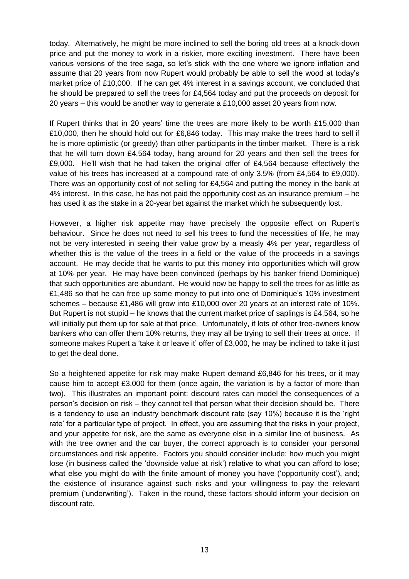today. Alternatively, he might be more inclined to sell the boring old trees at a knock-down price and put the money to work in a riskier, more exciting investment. There have been various versions of the tree saga, so let's stick with the one where we ignore inflation and assume that 20 years from now Rupert would probably be able to sell the wood at today's market price of £10,000. If he can get 4% interest in a savings account, we concluded that he should be prepared to sell the trees for £4,564 today and put the proceeds on deposit for 20 years – this would be another way to generate a £10,000 asset 20 years from now.

If Rupert thinks that in 20 years' time the trees are more likely to be worth £15,000 than £10,000, then he should hold out for £6,846 today. This may make the trees hard to sell if he is more optimistic (or greedy) than other participants in the timber market. There is a risk that he will turn down £4,564 today, hang around for 20 years and then sell the trees for £9,000. He'll wish that he had taken the original offer of £4,564 because effectively the value of his trees has increased at a compound rate of only 3.5% (from £4,564 to £9,000). There was an opportunity cost of not selling for £4,564 and putting the money in the bank at 4% interest. In this case, he has not paid the opportunity cost as an insurance premium – he has used it as the stake in a 20-year bet against the market which he subsequently lost.

However, a higher risk appetite may have precisely the opposite effect on Rupert's behaviour. Since he does not need to sell his trees to fund the necessities of life, he may not be very interested in seeing their value grow by a measly 4% per year, regardless of whether this is the value of the trees in a field or the value of the proceeds in a savings account. He may decide that he wants to put this money into opportunities which will grow at 10% per year. He may have been convinced (perhaps by his banker friend Dominique) that such opportunities are abundant. He would now be happy to sell the trees for as little as £1,486 so that he can free up some money to put into one of Dominique's 10% investment schemes – because £1,486 will grow into £10,000 over 20 years at an interest rate of 10%. But Rupert is not stupid – he knows that the current market price of saplings is £4,564, so he will initially put them up for sale at that price. Unfortunately, if lots of other tree-owners know bankers who can offer them 10% returns, they may all be trying to sell their trees at once. If someone makes Rupert a 'take it or leave it' offer of £3,000, he may be inclined to take it just to get the deal done.

So a heightened appetite for risk may make Rupert demand £6,846 for his trees, or it may cause him to accept £3,000 for them (once again, the variation is by a factor of more than two). This illustrates an important point: discount rates can model the consequences of a person's decision on risk – they cannot tell that person what their decision should be. There is a tendency to use an industry benchmark discount rate (say 10%) because it is the 'right rate' for a particular type of project. In effect, you are assuming that the risks in your project, and your appetite for risk, are the same as everyone else in a similar line of business. As with the tree owner and the car buyer, the correct approach is to consider your personal circumstances and risk appetite. Factors you should consider include: how much you might lose (in business called the 'downside value at risk') relative to what you can afford to lose; what else you might do with the finite amount of money you have ('opportunity cost'), and; the existence of insurance against such risks and your willingness to pay the relevant premium ('underwriting'). Taken in the round, these factors should inform your decision on discount rate.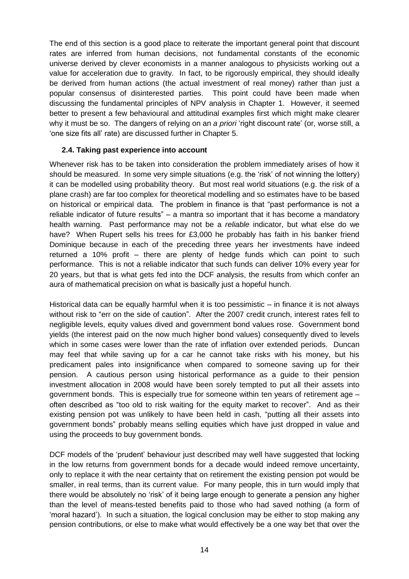The end of this section is a good place to reiterate the important general point that discount rates are inferred from human decisions, not fundamental constants of the economic universe derived by clever economists in a manner analogous to physicists working out a value for acceleration due to gravity. In fact, to be rigorously empirical, they should ideally be derived from human actions (the actual investment of real money) rather than just a popular consensus of disinterested parties. This point could have been made when discussing the fundamental principles of NPV analysis in Chapter 1. However, it seemed better to present a few behavioural and attitudinal examples first which might make clearer why it must be so. The dangers of relying on an *a priori* 'right discount rate' (or, worse still, a 'one size fits all' rate) are discussed further in Chapter 5.

#### **2.4. Taking past experience into account**

Whenever risk has to be taken into consideration the problem immediately arises of how it should be measured. In some very simple situations (e.g. the 'risk' of not winning the lottery) it can be modelled using probability theory. But most real world situations (e.g. the risk of a plane crash) are far too complex for theoretical modelling and so estimates have to be based on historical or empirical data. The problem in finance is that "past performance is not a reliable indicator of future results" – a mantra so important that it has become a mandatory health warning. Past performance may not be a *reliable* indicator, but what else do we have? When Rupert sells his trees for £3,000 he probably has faith in his banker friend Dominique because in each of the preceding three years her investments have indeed returned a 10% profit – there are plenty of hedge funds which can point to such performance. This is not a reliable indicator that such funds can deliver 10% every year for 20 years, but that is what gets fed into the DCF analysis, the results from which confer an aura of mathematical precision on what is basically just a hopeful hunch.

Historical data can be equally harmful when it is too pessimistic – in finance it is not always without risk to "err on the side of caution". After the 2007 credit crunch, interest rates fell to negligible levels, equity values dived and government bond values rose. Government bond yields (the interest paid on the now much higher bond values) consequently dived to levels which in some cases were lower than the rate of inflation over extended periods. Duncan may feel that while saving up for a car he cannot take risks with his money, but his predicament pales into insignificance when compared to someone saving up for their pension. A cautious person using historical performance as a guide to their pension investment allocation in 2008 would have been sorely tempted to put all their assets into government bonds. This is especially true for someone within ten years of retirement age – often described as "too old to risk waiting for the equity market to recover". And as their existing pension pot was unlikely to have been held in cash, "putting all their assets into government bonds" probably means selling equities which have just dropped in value and using the proceeds to buy government bonds.

DCF models of the 'prudent' behaviour just described may well have suggested that locking in the low returns from government bonds for a decade would indeed remove uncertainty, only to replace it with the near certainty that on retirement the existing pension pot would be smaller, in real terms, than its current value. For many people, this in turn would imply that there would be absolutely no 'risk' of it being large enough to generate a pension any higher than the level of means-tested benefits paid to those who had saved nothing (a form of 'moral hazard'). In such a situation, the logical conclusion may be either to stop making any pension contributions, or else to make what would effectively be a one way bet that over the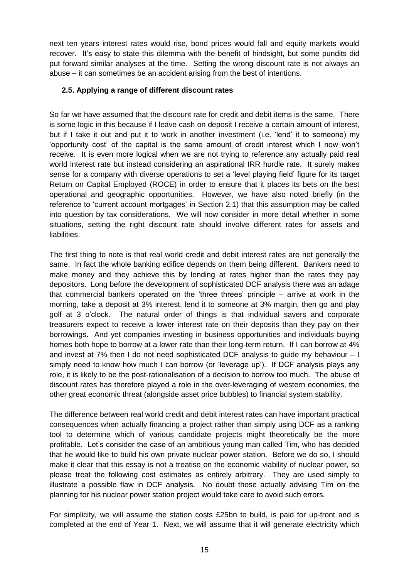next ten years interest rates would rise, bond prices would fall and equity markets would recover. It's easy to state this dilemma with the benefit of hindsight, but some pundits did put forward similar analyses at the time. Setting the wrong discount rate is not always an abuse – it can sometimes be an accident arising from the best of intentions.

#### **2.5. Applying a range of different discount rates**

So far we have assumed that the discount rate for credit and debit items is the same. There is some logic in this because if I leave cash on deposit I receive a certain amount of interest, but if I take it out and put it to work in another investment (i.e. 'lend' it to someone) my 'opportunity cost' of the capital is the same amount of credit interest which I now won't receive. It is even more logical when we are not trying to reference any actually paid real world interest rate but instead considering an aspirational IRR hurdle rate. It surely makes sense for a company with diverse operations to set a 'level playing field' figure for its target Return on Capital Employed (ROCE) in order to ensure that it places its bets on the best operational and geographic opportunities. However, we have also noted briefly (in the reference to 'current account mortgages' in Section 2.1) that this assumption may be called into question by tax considerations. We will now consider in more detail whether in some situations, setting the right discount rate should involve different rates for assets and liabilities.

The first thing to note is that real world credit and debit interest rates are not generally the same. In fact the whole banking edifice depends on them being different. Bankers need to make money and they achieve this by lending at rates higher than the rates they pay depositors. Long before the development of sophisticated DCF analysis there was an adage that commercial bankers operated on the 'three threes' principle – arrive at work in the morning, take a deposit at 3% interest, lend it to someone at 3% margin, then go and play golf at 3 o'clock. The natural order of things is that individual savers and corporate treasurers expect to receive a lower interest rate on their deposits than they pay on their borrowings. And yet companies investing in business opportunities and individuals buying homes both hope to borrow at a lower rate than their long-term return. If I can borrow at 4% and invest at 7% then I do not need sophisticated DCF analysis to guide my behaviour – I simply need to know how much I can borrow (or 'leverage up'). If DCF analysis plays any role, it is likely to be the post-rationalisation of a decision to borrow too much. The abuse of discount rates has therefore played a role in the over-leveraging of western economies, the other great economic threat (alongside asset price bubbles) to financial system stability.

The difference between real world credit and debit interest rates can have important practical consequences when actually financing a project rather than simply using DCF as a ranking tool to determine which of various candidate projects might theoretically be the more profitable. Let's consider the case of an ambitious young man called Tim, who has decided that he would like to build his own private nuclear power station. Before we do so, I should make it clear that this essay is not a treatise on the economic viability of nuclear power, so please treat the following cost estimates as entirely arbitrary. They are used simply to illustrate a possible flaw in DCF analysis. No doubt those actually advising Tim on the planning for his nuclear power station project would take care to avoid such errors.

For simplicity, we will assume the station costs £25bn to build, is paid for up-front and is completed at the end of Year 1. Next, we will assume that it will generate electricity which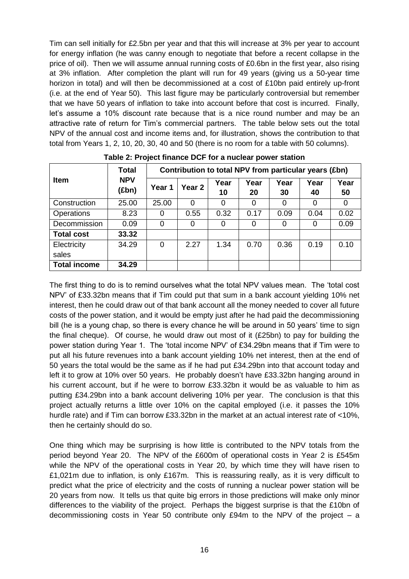Tim can sell initially for £2.5bn per year and that this will increase at 3% per year to account for energy inflation (he was canny enough to negotiate that before a recent collapse in the price of oil). Then we will assume annual running costs of £0.6bn in the first year, also rising at 3% inflation. After completion the plant will run for 49 years (giving us a 50-year time horizon in total) and will then be decommissioned at a cost of £10bn paid entirely up-front (i.e. at the end of Year 50). This last figure may be particularly controversial but remember that we have 50 years of inflation to take into account before that cost is incurred. Finally, let's assume a 10% discount rate because that is a nice round number and may be an attractive rate of return for Tim's commercial partners. The table below sets out the total NPV of the annual cost and income items and, for illustration, shows the contribution to that total from Years 1, 2, 10, 20, 30, 40 and 50 (there is no room for a table with 50 columns).

|                     | <b>Total</b>        | Contribution to total NPV from particular years (£bn) |                   |            |            |            |            |            |  |  |  |  |
|---------------------|---------------------|-------------------------------------------------------|-------------------|------------|------------|------------|------------|------------|--|--|--|--|
| <b>Item</b>         | <b>NPV</b><br>(£bn) | Year 1                                                | Year <sub>2</sub> | Year<br>10 | Year<br>20 | Year<br>30 | Year<br>40 | Year<br>50 |  |  |  |  |
| Construction        | 25.00               | 25.00                                                 | 0                 | $\Omega$   |            | 0          | 0          |            |  |  |  |  |
| <b>Operations</b>   | 8.23                | 0                                                     | 0.55              | 0.32       | 0.17       | 0.09       | 0.04       | 0.02       |  |  |  |  |
| Decommission        | 0.09                | 0                                                     | 0                 | 0          | 0          | $\Omega$   | 0          | 0.09       |  |  |  |  |
| <b>Total cost</b>   | 33.32               |                                                       |                   |            |            |            |            |            |  |  |  |  |
| Electricity         | 34.29               | 0                                                     | 2.27              | 1.34       | 0.70       | 0.36       | 0.19       | 0.10       |  |  |  |  |
| sales               |                     |                                                       |                   |            |            |            |            |            |  |  |  |  |
| <b>Total income</b> | 34.29               |                                                       |                   |            |            |            |            |            |  |  |  |  |

**Table 2: Project finance DCF for a nuclear power station**

The first thing to do is to remind ourselves what the total NPV values mean. The 'total cost NPV' of £33.32bn means that if Tim could put that sum in a bank account yielding 10% net interest, then he could draw out of that bank account all the money needed to cover all future costs of the power station, and it would be empty just after he had paid the decommissioning bill (he is a young chap, so there is every chance he will be around in 50 years' time to sign the final cheque). Of course, he would draw out most of it (£25bn) to pay for building the power station during Year 1. The 'total income NPV' of £34.29bn means that if Tim were to put all his future revenues into a bank account yielding 10% net interest, then at the end of 50 years the total would be the same as if he had put £34.29bn into that account today and left it to grow at 10% over 50 years. He probably doesn't have £33.32bn hanging around in his current account, but if he were to borrow £33.32bn it would be as valuable to him as putting £34.29bn into a bank account delivering 10% per year. The conclusion is that this project actually returns a little over 10% on the capital employed (i.e. it passes the 10% hurdle rate) and if Tim can borrow £33.32bn in the market at an actual interest rate of <10%, then he certainly should do so.

One thing which may be surprising is how little is contributed to the NPV totals from the period beyond Year 20. The NPV of the £600m of operational costs in Year 2 is £545m while the NPV of the operational costs in Year 20, by which time they will have risen to £1,021m due to inflation, is only £167m. This is reassuring really, as it is very difficult to predict what the price of electricity and the costs of running a nuclear power station will be 20 years from now. It tells us that quite big errors in those predictions will make only minor differences to the viability of the project. Perhaps the biggest surprise is that the £10bn of decommissioning costs in Year 50 contribute only £94m to the NPV of the project – a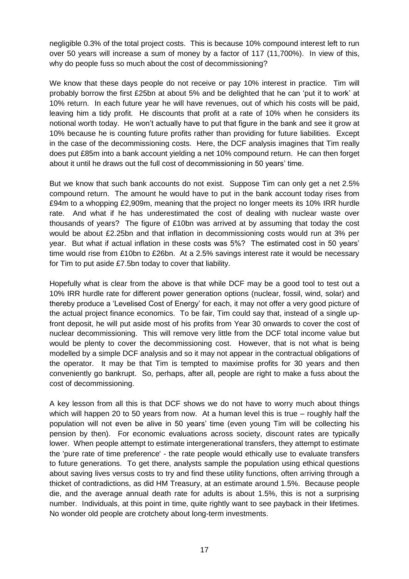negligible 0.3% of the total project costs. This is because 10% compound interest left to run over 50 years will increase a sum of money by a factor of 117 (11,700%). In view of this, why do people fuss so much about the cost of decommissioning?

We know that these days people do not receive or pay 10% interest in practice. Tim will probably borrow the first £25bn at about 5% and be delighted that he can 'put it to work' at 10% return. In each future year he will have revenues, out of which his costs will be paid, leaving him a tidy profit. He discounts that profit at a rate of 10% when he considers its notional worth today. He won't actually have to put that figure in the bank and see it grow at 10% because he is counting future profits rather than providing for future liabilities. Except in the case of the decommissioning costs. Here, the DCF analysis imagines that Tim really does put £85m into a bank account yielding a net 10% compound return. He can then forget about it until he draws out the full cost of decommissioning in 50 years' time.

But we know that such bank accounts do not exist. Suppose Tim can only get a net 2.5% compound return. The amount he would have to put in the bank account today rises from £94m to a whopping £2,909m, meaning that the project no longer meets its 10% IRR hurdle rate. And what if he has underestimated the cost of dealing with nuclear waste over thousands of years? The figure of £10bn was arrived at by assuming that today the cost would be about £2.25bn and that inflation in decommissioning costs would run at 3% per year. But what if actual inflation in these costs was 5%? The estimated cost in 50 years' time would rise from £10bn to £26bn. At a 2.5% savings interest rate it would be necessary for Tim to put aside £7.5bn today to cover that liability.

Hopefully what is clear from the above is that while DCF may be a good tool to test out a 10% IRR hurdle rate for different power generation options (nuclear, fossil, wind, solar) and thereby produce a 'Levelised Cost of Energy' for each, it may not offer a very good picture of the actual project finance economics. To be fair, Tim could say that, instead of a single upfront deposit, he will put aside most of his profits from Year 30 onwards to cover the cost of nuclear decommissioning. This will remove very little from the DCF total income value but would be plenty to cover the decommissioning cost. However, that is not what is being modelled by a simple DCF analysis and so it may not appear in the contractual obligations of the operator. It may be that Tim is tempted to maximise profits for 30 years and then conveniently go bankrupt. So, perhaps, after all, people are right to make a fuss about the cost of decommissioning.

A key lesson from all this is that DCF shows we do not have to worry much about things which will happen 20 to 50 years from now. At a human level this is true – roughly half the population will not even be alive in 50 years' time (even young Tim will be collecting his pension by then). For economic evaluations across society, discount rates are typically lower. When people attempt to estimate intergenerational transfers, they attempt to estimate the 'pure rate of time preference' - the rate people would ethically use to evaluate transfers to future generations. To get there, analysts sample the population using ethical questions about saving lives versus costs to try and find these utility functions, often arriving through a thicket of contradictions, as did HM Treasury, at an estimate around 1.5%. Because people die, and the average annual death rate for adults is about 1.5%, this is not a surprising number. Individuals, at this point in time, quite rightly want to see payback in their lifetimes. No wonder old people are crotchety about long-term investments.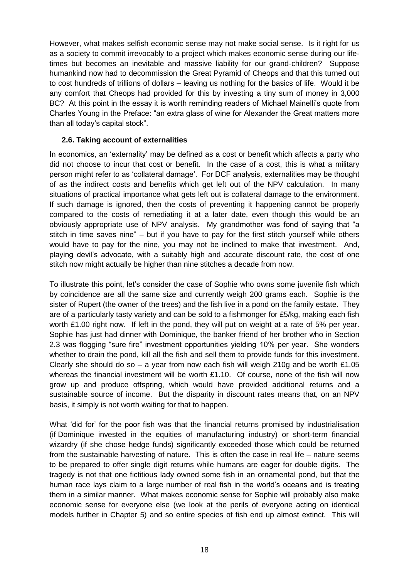However, what makes selfish economic sense may not make social sense. Is it right for us as a society to commit irrevocably to a project which makes economic sense during our lifetimes but becomes an inevitable and massive liability for our grand-children? Suppose humankind now had to decommission the Great Pyramid of Cheops and that this turned out to cost hundreds of trillions of dollars – leaving us nothing for the basics of life. Would it be any comfort that Cheops had provided for this by investing a tiny sum of money in 3,000 BC? At this point in the essay it is worth reminding readers of Michael Mainelli's quote from Charles Young in the Preface: "an extra glass of wine for Alexander the Great matters more than all today's capital stock".

#### **2.6. Taking account of externalities**

In economics, an 'externality' may be defined as a cost or benefit which affects a party who did not choose to incur that cost or benefit. In the case of a cost, this is what a military person might refer to as 'collateral damage'. For DCF analysis, externalities may be thought of as the indirect costs and benefits which get left out of the NPV calculation. In many situations of practical importance what gets left out is collateral damage to the environment. If such damage is ignored, then the costs of preventing it happening cannot be properly compared to the costs of remediating it at a later date, even though this would be an obviously appropriate use of NPV analysis. My grandmother was fond of saying that "a stitch in time saves nine" – but if you have to pay for the first stitch yourself while others would have to pay for the nine, you may not be inclined to make that investment. And, playing devil's advocate, with a suitably high and accurate discount rate, the cost of one stitch now might actually be higher than nine stitches a decade from now.

To illustrate this point, let's consider the case of Sophie who owns some juvenile fish which by coincidence are all the same size and currently weigh 200 grams each. Sophie is the sister of Rupert (the owner of the trees) and the fish live in a pond on the family estate. They are of a particularly tasty variety and can be sold to a fishmonger for £5/kg, making each fish worth £1.00 right now. If left in the pond, they will put on weight at a rate of 5% per year. Sophie has just had dinner with Dominique, the banker friend of her brother who in Section 2.3 was flogging "sure fire" investment opportunities yielding 10% per year. She wonders whether to drain the pond, kill all the fish and sell them to provide funds for this investment. Clearly she should do so  $-$  a year from now each fish will weigh 210g and be worth £1.05 whereas the financial investment will be worth £1.10. Of course, none of the fish will now grow up and produce offspring, which would have provided additional returns and a sustainable source of income. But the disparity in discount rates means that, on an NPV basis, it simply is not worth waiting for that to happen.

What 'did for' for the poor fish was that the financial returns promised by industrialisation (if Dominique invested in the equities of manufacturing industry) or short-term financial wizardry (if she chose hedge funds) significantly exceeded those which could be returned from the sustainable harvesting of nature. This is often the case in real life – nature seems to be prepared to offer single digit returns while humans are eager for double digits. The tragedy is not that one fictitious lady owned some fish in an ornamental pond, but that the human race lays claim to a large number of real fish in the world's oceans and is treating them in a similar manner. What makes economic sense for Sophie will probably also make economic sense for everyone else (we look at the perils of everyone acting on identical models further in Chapter 5) and so entire species of fish end up almost extinct. This will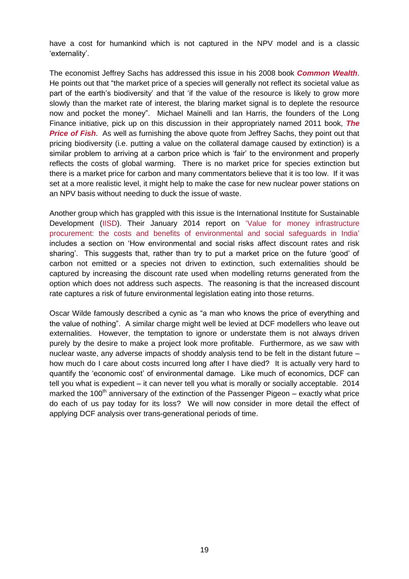have a cost for humankind which is not captured in the NPV model and is a classic 'externality'.

The economist Jeffrey Sachs has addressed this issue in his 2008 book *[Common Wealth](http://jeffsachs.org/books/common-wealth/)*. He points out that "the market price of a species will generally not reflect its societal value as part of the earth's biodiversity' and that 'if the value of the resource is likely to grow more slowly than the market rate of interest, the blaring market signal is to deplete the resource now and pocket the money". Michael Mainelli and Ian Harris, the founders of the Long Finance initiative, pick up on this discussion in their appropriately named 2011 book, *[The](http://www.zyen.com/component/content/article/743-price-of-fish.html)  [Price of Fish](http://www.zyen.com/component/content/article/743-price-of-fish.html).* As well as furnishing the above quote from Jeffrey Sachs, they point out that pricing biodiversity (i.e. putting a value on the collateral damage caused by extinction) is a similar problem to arriving at a carbon price which is 'fair' to the environment and properly reflects the costs of global warming. There is no market price for species extinction but there is a market price for carbon and many commentators believe that it is too low. If it was set at a more realistic level, it might help to make the case for new nuclear power stations on an NPV basis without needing to duck the issue of waste.

Another group which has grappled with this issue is the International Institute for Sustainable Development [\(IISD\)](http://www.iisd.org/). Their January 2014 report on ['Value for money infrastructure](http://www.iisd.org/sites/default/files/pdf/2014/value_for_money.pdf)  [procurement: the costs and benefits of environmental and social safeguards in India'](http://www.iisd.org/sites/default/files/pdf/2014/value_for_money.pdf) includes a section on 'How environmental and social risks affect discount rates and risk sharing'. This suggests that, rather than try to put a market price on the future 'good' of carbon not emitted or a species not driven to extinction, such externalities should be captured by increasing the discount rate used when modelling returns generated from the option which does not address such aspects. The reasoning is that the increased discount rate captures a risk of future environmental legislation eating into those returns.

Oscar Wilde famously described a cynic as "a man who knows the price of everything and the value of nothing". A similar charge might well be levied at DCF modellers who leave out externalities. However, the temptation to ignore or understate them is not always driven purely by the desire to make a project look more profitable. Furthermore, as we saw with nuclear waste, any adverse impacts of shoddy analysis tend to be felt in the distant future – how much do I care about costs incurred long after I have died? It is actually very hard to quantify the 'economic cost' of environmental damage. Like much of economics, DCF can tell you what is expedient – it can never tell you what is morally or socially acceptable. 2014 marked the 100<sup>th</sup> anniversary of the extinction of the Passenger Pigeon – exactly what price do each of us pay today for its loss? We will now consider in more detail the effect of applying DCF analysis over trans-generational periods of time.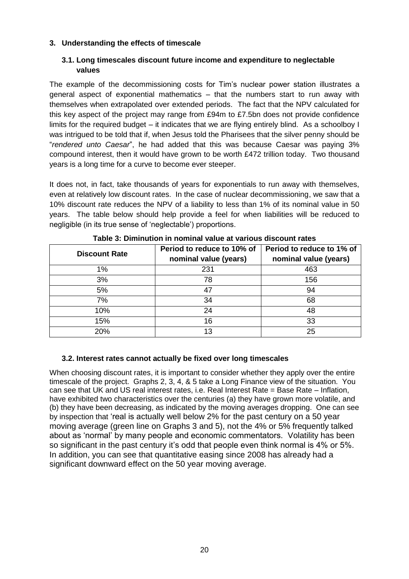#### **3. Understanding the effects of timescale**

#### **3.1. Long timescales discount future income and expenditure to neglectable values**

The example of the decommissioning costs for Tim's nuclear power station illustrates a general aspect of exponential mathematics – that the numbers start to run away with themselves when extrapolated over extended periods. The fact that the NPV calculated for this key aspect of the project may range from £94m to £7.5bn does not provide confidence limits for the required budget – it indicates that we are flying entirely blind. As a schoolboy I was intrigued to be told that if, when Jesus told the Pharisees that the silver penny should be "*rendered unto Caesar*", he had added that this was because Caesar was paying 3% compound interest, then it would have grown to be worth £472 trillion today. Two thousand years is a long time for a curve to become ever steeper.

It does not, in fact, take thousands of years for exponentials to run away with themselves, even at relatively low discount rates. In the case of nuclear decommissioning, we saw that a 10% discount rate reduces the NPV of a liability to less than 1% of its nominal value in 50 years. The table below should help provide a feel for when liabilities will be reduced to negligible (in its true sense of 'neglectable') proportions.

| <b>Discount Rate</b> | Period to reduce to 10% of<br>nominal value (years) | Period to reduce to 1% of<br>nominal value (years) |
|----------------------|-----------------------------------------------------|----------------------------------------------------|
| 1%                   | 231                                                 | 463                                                |
| 3%                   | 78                                                  | 156                                                |
| 5%                   | 47                                                  | 94                                                 |
| 7%                   | 34                                                  | 68                                                 |
| 10%                  | 24                                                  | 48                                                 |
| 15%                  | 16                                                  | 33                                                 |
| 20%                  | 13                                                  | 25                                                 |

**Table 3: Diminution in nominal value at various discount rates**

#### **3.2. Interest rates cannot actually be fixed over long timescales**

When choosing discount rates, it is important to consider whether they apply over the entire timescale of the project. Graphs 2, 3, 4, & 5 take a Long Finance view of the situation. You can see that UK and US real interest rates, i.e. Real Interest Rate = Base Rate – Inflation, have exhibited two characteristics over the centuries (a) they have grown more volatile, and (b) they have been decreasing, as indicated by the moving averages dropping. One can see by inspection that 'real is actually well below 2% for the past century on a 50 year moving average (green line on Graphs 3 and 5), not the 4% or 5% frequently talked about as 'normal' by many people and economic commentators. Volatility has been so significant in the past century it's odd that people even think normal is 4% or 5%. In addition, you can see that quantitative easing since 2008 has already had a significant downward effect on the 50 year moving average.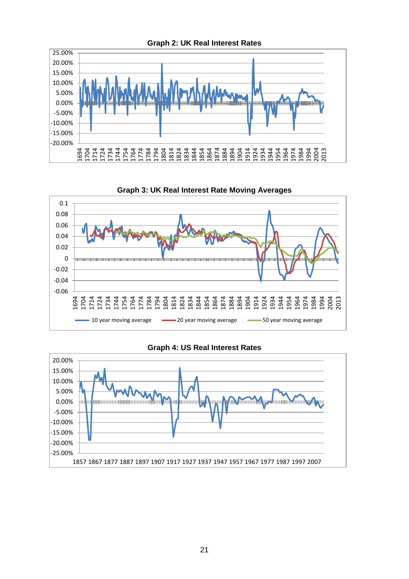



**Graph 3: UK Real Interest Rate Moving Averages**

#### **Graph 4: US Real Interest Rates**

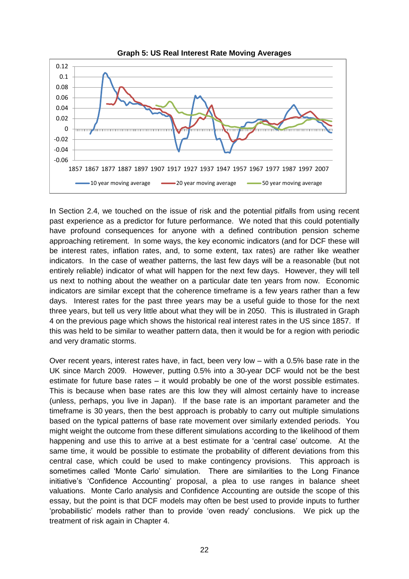

In Section 2.4, we touched on the issue of risk and the potential pitfalls from using recent past experience as a predictor for future performance. We noted that this could potentially have profound consequences for anyone with a defined contribution pension scheme approaching retirement. In some ways, the key economic indicators (and for DCF these will be interest rates, inflation rates, and, to some extent, tax rates) are rather like weather indicators. In the case of weather patterns, the last few days will be a reasonable (but not entirely reliable) indicator of what will happen for the next few days. However, they will tell us next to nothing about the weather on a particular date ten years from now. Economic indicators are similar except that the coherence timeframe is a few years rather than a few days. Interest rates for the past three years may be a useful guide to those for the next three years, but tell us very little about what they will be in 2050. This is illustrated in Graph 4 on the previous page which shows the historical real interest rates in the US since 1857. If this was held to be similar to weather pattern data, then it would be for a region with periodic and very dramatic storms.

Over recent years, interest rates have, in fact, been very low – with a 0.5% base rate in the UK since March 2009. However, putting 0.5% into a 30-year DCF would not be the best estimate for future base rates – it would probably be one of the worst possible estimates. This is because when base rates are this low they will almost certainly have to increase (unless, perhaps, you live in Japan). If the base rate is an important parameter and the timeframe is 30 years, then the best approach is probably to carry out multiple simulations based on the typical patterns of base rate movement over similarly extended periods. You might weight the outcome from these different simulations according to the likelihood of them happening and use this to arrive at a best estimate for a 'central case' outcome. At the same time, it would be possible to estimate the probability of different deviations from this central case, which could be used to make contingency provisions. This approach is sometimes called 'Monte Carlo' simulation. There are similarities to the Long Finance initiative's 'Confidence Accounting' proposal, a plea to use ranges in balance sheet valuations. Monte Carlo analysis and Confidence Accounting are outside the scope of this essay, but the point is that DCF models may often be best used to provide inputs to further 'probabilistic' models rather than to provide 'oven ready' conclusions. We pick up the treatment of risk again in Chapter 4.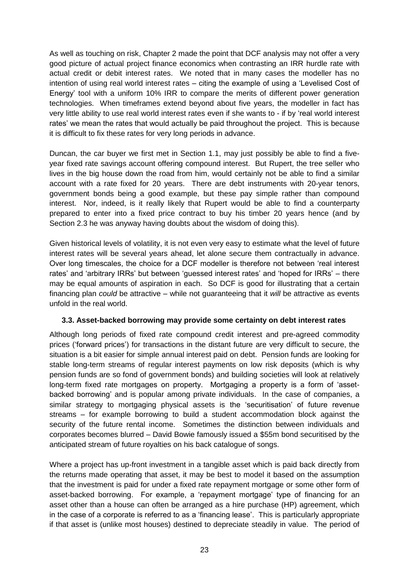As well as touching on risk, Chapter 2 made the point that DCF analysis may not offer a very good picture of actual project finance economics when contrasting an IRR hurdle rate with actual credit or debit interest rates. We noted that in many cases the modeller has no intention of using real world interest rates – citing the example of using a 'Levelised Cost of Energy' tool with a uniform 10% IRR to compare the merits of different power generation technologies. When timeframes extend beyond about five years, the modeller in fact has very little ability to use real world interest rates even if she wants to - if by 'real world interest rates' we mean the rates that would actually be paid throughout the project. This is because it is difficult to fix these rates for very long periods in advance.

Duncan, the car buyer we first met in Section 1.1, may just possibly be able to find a fiveyear fixed rate savings account offering compound interest. But Rupert, the tree seller who lives in the big house down the road from him, would certainly not be able to find a similar account with a rate fixed for 20 years. There are debt instruments with 20-year tenors, government bonds being a good example, but these pay simple rather than compound interest. Nor, indeed, is it really likely that Rupert would be able to find a counterparty prepared to enter into a fixed price contract to buy his timber 20 years hence (and by Section 2.3 he was anyway having doubts about the wisdom of doing this).

Given historical levels of volatility, it is not even very easy to estimate what the level of future interest rates will be several years ahead, let alone secure them contractually in advance. Over long timescales, the choice for a DCF modeller is therefore not between 'real interest rates' and 'arbitrary IRRs' but between 'guessed interest rates' and 'hoped for IRRs' – there may be equal amounts of aspiration in each. So DCF is good for illustrating that a certain financing plan *could* be attractive – while not guaranteeing that it *will* be attractive as events unfold in the real world.

#### **3.3. Asset-backed borrowing may provide some certainty on debt interest rates**

Although long periods of fixed rate compound credit interest and pre-agreed commodity prices ('forward prices') for transactions in the distant future are very difficult to secure, the situation is a bit easier for simple annual interest paid on debt. Pension funds are looking for stable long-term streams of regular interest payments on low risk deposits (which is why pension funds are so fond of government bonds) and building societies will look at relatively long-term fixed rate mortgages on property. Mortgaging a property is a form of 'assetbacked borrowing' and is popular among private individuals. In the case of companies, a similar strategy to mortgaging physical assets is the 'securitisation' of future revenue streams – for example borrowing to build a student accommodation block against the security of the future rental income. Sometimes the distinction between individuals and corporates becomes blurred – David Bowie famously issued a \$55m bond securitised by the anticipated stream of future royalties on his back catalogue of songs.

Where a project has up-front investment in a tangible asset which is paid back directly from the returns made operating that asset, it may be best to model it based on the assumption that the investment is paid for under a fixed rate repayment mortgage or some other form of asset-backed borrowing. For example, a 'repayment mortgage' type of financing for an asset other than a house can often be arranged as a hire purchase (HP) agreement, which in the case of a corporate is referred to as a 'financing lease'. This is particularly appropriate if that asset is (unlike most houses) destined to depreciate steadily in value. The period of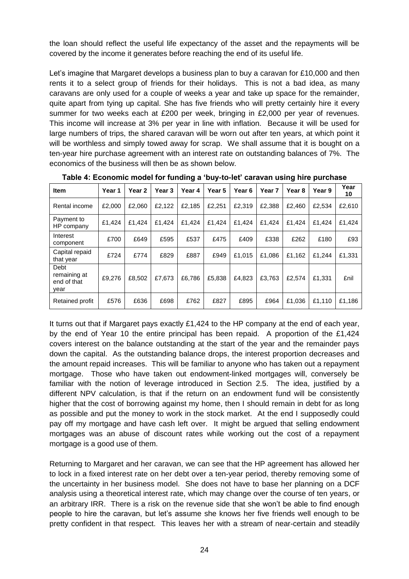the loan should reflect the useful life expectancy of the asset and the repayments will be covered by the income it generates before reaching the end of its useful life.

Let's imagine that Margaret develops a business plan to buy a caravan for £10,000 and then rents it to a select group of friends for their holidays. This is not a bad idea, as many caravans are only used for a couple of weeks a year and take up space for the remainder, quite apart from tying up capital. She has five friends who will pretty certainly hire it every summer for two weeks each at £200 per week, bringing in £2,000 per year of revenues. This income will increase at 3% per year in line with inflation. Because it will be used for large numbers of trips, the shared caravan will be worn out after ten years, at which point it will be worthless and simply towed away for scrap. We shall assume that it is bought on a ten-year hire purchase agreement with an interest rate on outstanding balances of 7%. The economics of the business will then be as shown below.

| Item                                        | Year 1 | Year 2 | Year 3 | Year 4 | Year 5 | Year 6 | Year <sub>7</sub> | Year <sub>8</sub> | Year 9 | Year<br>10 |
|---------------------------------------------|--------|--------|--------|--------|--------|--------|-------------------|-------------------|--------|------------|
| Rental income                               | £2,000 | £2.060 | £2,122 | £2,185 | £2,251 | £2.319 | £2.388            | £2.460            | £2.534 | £2,610     |
| Payment to<br>HP company                    | £1.424 | £1.424 | £1,424 | £1,424 | £1.424 | £1.424 | £1.424            | £1.424            | £1.424 | £1.424     |
| Interest<br>component                       | £700   | £649   | £595   | £537   | £475   | £409   | £338              | £262              | £180   | £93        |
| Capital repaid<br>that year                 | £724   | £774   | £829   | £887   | £949   | £1.015 | £1.086            | £1,162            | £1.244 | £1,331     |
| Debt<br>remaining at<br>end of that<br>vear | £9.276 | £8.502 | £7.673 | £6,786 | £5,838 | £4.823 | £3.763            | £2.574            | £1.331 | £nil       |
| Retained profit                             | £576   | £636   | £698   | £762   | £827   | £895   | £964              | £1,036            | £1,110 | £1,186     |

**Table 4: Economic model for funding a 'buy-to-let' caravan using hire purchase**

It turns out that if Margaret pays exactly £1,424 to the HP company at the end of each year, by the end of Year 10 the entire principal has been repaid. A proportion of the £1,424 covers interest on the balance outstanding at the start of the year and the remainder pays down the capital. As the outstanding balance drops, the interest proportion decreases and the amount repaid increases. This will be familiar to anyone who has taken out a repayment mortgage. Those who have taken out endowment-linked mortgages will, conversely be familiar with the notion of leverage introduced in Section 2.5. The idea, justified by a different NPV calculation, is that if the return on an endowment fund will be consistently higher that the cost of borrowing against my home, then I should remain in debt for as long as possible and put the money to work in the stock market. At the end I supposedly could pay off my mortgage and have cash left over. It might be argued that selling endowment mortgages was an abuse of discount rates while working out the cost of a repayment mortgage is a good use of them.

Returning to Margaret and her caravan, we can see that the HP agreement has allowed her to lock in a fixed interest rate on her debt over a ten-year period, thereby removing some of the uncertainty in her business model. She does not have to base her planning on a DCF analysis using a theoretical interest rate, which may change over the course of ten years, or an arbitrary IRR. There is a risk on the revenue side that she won't be able to find enough people to hire the caravan, but let's assume she knows her five friends well enough to be pretty confident in that respect. This leaves her with a stream of near-certain and steadily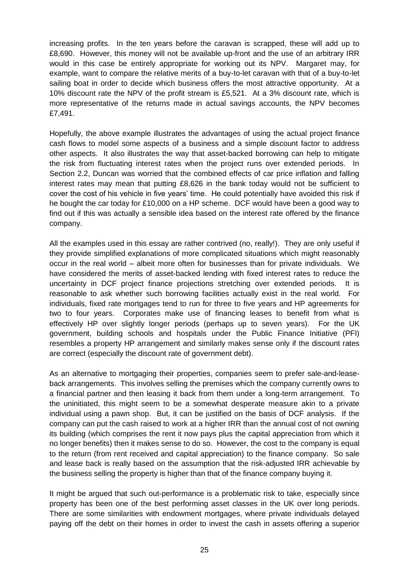increasing profits. In the ten years before the caravan is scrapped, these will add up to £8,690. However, this money will not be available up-front and the use of an arbitrary IRR would in this case be entirely appropriate for working out its NPV. Margaret may, for example, want to compare the relative merits of a buy-to-let caravan with that of a buy-to-let sailing boat in order to decide which business offers the most attractive opportunity. At a 10% discount rate the NPV of the profit stream is £5,521. At a 3% discount rate, which is more representative of the returns made in actual savings accounts, the NPV becomes £7,491.

Hopefully, the above example illustrates the advantages of using the actual project finance cash flows to model some aspects of a business and a simple discount factor to address other aspects. It also illustrates the way that asset-backed borrowing can help to mitigate the risk from fluctuating interest rates when the project runs over extended periods. In Section 2.2, Duncan was worried that the combined effects of car price inflation and falling interest rates may mean that putting £8,626 in the bank today would not be sufficient to cover the cost of his vehicle in five years' time. He could potentially have avoided this risk if he bought the car today for £10,000 on a HP scheme. DCF would have been a good way to find out if this was actually a sensible idea based on the interest rate offered by the finance company.

All the examples used in this essay are rather contrived (no, really!). They are only useful if they provide simplified explanations of more complicated situations which might reasonably occur in the real world – albeit more often for businesses than for private individuals. We have considered the merits of asset-backed lending with fixed interest rates to reduce the uncertainty in DCF project finance projections stretching over extended periods. It is reasonable to ask whether such borrowing facilities actually exist in the real world. For individuals, fixed rate mortgages tend to run for three to five years and HP agreements for two to four years. Corporates make use of financing leases to benefit from what is effectively HP over slightly longer periods (perhaps up to seven years). For the UK government, building schools and hospitals under the Public Finance Initiative (PFI) resembles a property HP arrangement and similarly makes sense only if the discount rates are correct (especially the discount rate of government debt).

As an alternative to mortgaging their properties, companies seem to prefer sale-and-leaseback arrangements. This involves selling the premises which the company currently owns to a financial partner and then leasing it back from them under a long-term arrangement. To the uninitiated, this might seem to be a somewhat desperate measure akin to a private individual using a pawn shop. But, it can be justified on the basis of DCF analysis. If the company can put the cash raised to work at a higher IRR than the annual cost of not owning its building (which comprises the rent it now pays plus the capital appreciation from which it no longer benefits) then it makes sense to do so. However, the cost to the company is equal to the return (from rent received and capital appreciation) to the finance company. So sale and lease back is really based on the assumption that the risk-adjusted IRR achievable by the business selling the property is higher than that of the finance company buying it.

It might be argued that such out-performance is a problematic risk to take, especially since property has been one of the best performing asset classes in the UK over long periods. There are some similarities with endowment mortgages, where private individuals delayed paying off the debt on their homes in order to invest the cash in assets offering a superior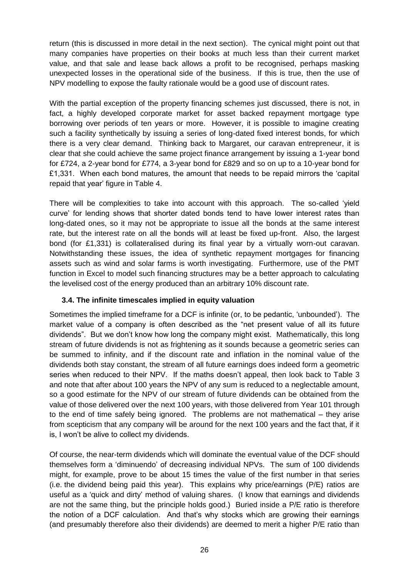return (this is discussed in more detail in the next section). The cynical might point out that many companies have properties on their books at much less than their current market value, and that sale and lease back allows a profit to be recognised, perhaps masking unexpected losses in the operational side of the business. If this is true, then the use of NPV modelling to expose the faulty rationale would be a good use of discount rates.

With the partial exception of the property financing schemes just discussed, there is not, in fact, a highly developed corporate market for asset backed repayment mortgage type borrowing over periods of ten years or more. However, it is possible to imagine creating such a facility synthetically by issuing a series of long-dated fixed interest bonds, for which there is a very clear demand. Thinking back to Margaret, our caravan entrepreneur, it is clear that she could achieve the same project finance arrangement by issuing a 1-year bond for £724, a 2-year bond for £774, a 3-year bond for £829 and so on up to a 10-year bond for £1,331. When each bond matures, the amount that needs to be repaid mirrors the 'capital repaid that year' figure in Table 4.

There will be complexities to take into account with this approach. The so-called 'yield curve' for lending shows that shorter dated bonds tend to have lower interest rates than long-dated ones, so it may not be appropriate to issue all the bonds at the same interest rate, but the interest rate on all the bonds will at least be fixed up-front. Also, the largest bond (for £1,331) is collateralised during its final year by a virtually worn-out caravan. Notwithstanding these issues, the idea of synthetic repayment mortgages for financing assets such as wind and solar farms is worth investigating. Furthermore, use of the PMT function in Excel to model such financing structures may be a better approach to calculating the levelised cost of the energy produced than an arbitrary 10% discount rate.

# **3.4. The infinite timescales implied in equity valuation**

Sometimes the implied timeframe for a DCF is infinite (or, to be pedantic, 'unbounded'). The market value of a company is often described as the "net present value of all its future dividends". But we don't know how long the company might exist. Mathematically, this long stream of future dividends is not as frightening as it sounds because a geometric series can be summed to infinity, and if the discount rate and inflation in the nominal value of the dividends both stay constant, the stream of all future earnings does indeed form a geometric series when reduced to their NPV. If the maths doesn't appeal, then look back to Table 3 and note that after about 100 years the NPV of any sum is reduced to a neglectable amount, so a good estimate for the NPV of our stream of future dividends can be obtained from the value of those delivered over the next 100 years, with those delivered from Year 101 through to the end of time safely being ignored. The problems are not mathematical – they arise from scepticism that any company will be around for the next 100 years and the fact that, if it is, I won't be alive to collect my dividends.

Of course, the near-term dividends which will dominate the eventual value of the DCF should themselves form a 'diminuendo' of decreasing individual NPVs. The sum of 100 dividends might, for example, prove to be about 15 times the value of the first number in that series (i.e. the dividend being paid this year). This explains why price/earnings (P/E) ratios are useful as a 'quick and dirty' method of valuing shares. (I know that earnings and dividends are not the same thing, but the principle holds good.) Buried inside a P/E ratio is therefore the notion of a DCF calculation. And that's why stocks which are growing their earnings (and presumably therefore also their dividends) are deemed to merit a higher P/E ratio than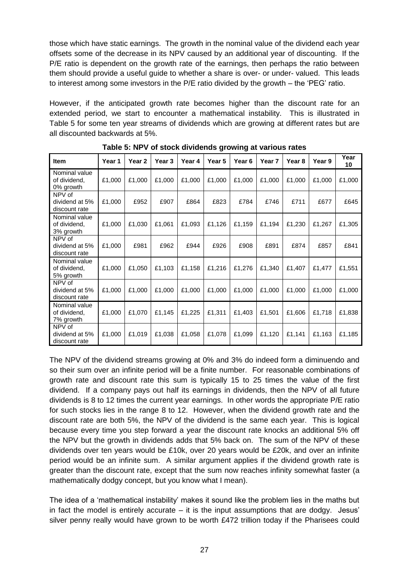those which have static earnings. The growth in the nominal value of the dividend each year offsets some of the decrease in its NPV caused by an additional year of discounting. If the P/E ratio is dependent on the growth rate of the earnings, then perhaps the ratio between them should provide a useful guide to whether a share is over- or under- valued. This leads to interest among some investors in the P/E ratio divided by the growth – the 'PEG' ratio.

However, if the anticipated growth rate becomes higher than the discount rate for an extended period, we start to encounter a mathematical instability. This is illustrated in Table 5 for some ten year streams of dividends which are growing at different rates but are all discounted backwards at 5%.

| <b>Item</b>                                | Year 1 | Year <sub>2</sub> | Year 3 | Year 4 | Year 5 | Year 6 | Year <sub>7</sub> | Year 8 | Year 9 | Year<br>10 |
|--------------------------------------------|--------|-------------------|--------|--------|--------|--------|-------------------|--------|--------|------------|
| Nominal value<br>of dividend,<br>0% growth | £1,000 | £1,000            | £1,000 | £1,000 | £1,000 | £1,000 | £1,000            | £1,000 | £1,000 | £1,000     |
| NPV of<br>dividend at 5%<br>discount rate  | £1,000 | £952              | £907   | £864   | £823   | £784   | £746              | £711   | £677   | £645       |
| Nominal value<br>of dividend,<br>3% growth | £1,000 | £1,030            | £1,061 | £1,093 | £1,126 | £1,159 | £1,194            | £1,230 | £1,267 | £1,305     |
| NPV of<br>dividend at 5%<br>discount rate  | £1,000 | £981              | £962   | £944   | £926   | £908   | £891              | £874   | £857   | £841       |
| Nominal value<br>of dividend,<br>5% growth | £1,000 | £1,050            | £1,103 | £1,158 | £1,216 | £1,276 | £1,340            | £1,407 | £1,477 | £1,551     |
| NPV of<br>dividend at 5%<br>discount rate  | £1,000 | £1,000            | £1,000 | £1,000 | £1,000 | £1,000 | £1,000            | £1,000 | £1,000 | £1,000     |
| Nominal value<br>of dividend,<br>7% growth | £1,000 | £1,070            | £1,145 | £1,225 | £1,311 | £1,403 | £1,501            | £1,606 | £1,718 | £1,838     |
| NPV of<br>dividend at 5%<br>discount rate  | £1,000 | £1,019            | £1,038 | £1,058 | £1,078 | £1,099 | £1,120            | £1,141 | £1,163 | £1,185     |

**Table 5: NPV of stock dividends growing at various rates**

The NPV of the dividend streams growing at 0% and 3% do indeed form a diminuendo and so their sum over an infinite period will be a finite number. For reasonable combinations of growth rate and discount rate this sum is typically 15 to 25 times the value of the first dividend. If a company pays out half its earnings in dividends, then the NPV of all future dividends is 8 to 12 times the current year earnings. In other words the appropriate P/E ratio for such stocks lies in the range 8 to 12. However, when the dividend growth rate and the discount rate are both 5%, the NPV of the dividend is the same each year. This is logical because every time you step forward a year the discount rate knocks an additional 5% off the NPV but the growth in dividends adds that 5% back on. The sum of the NPV of these dividends over ten years would be £10k, over 20 years would be £20k, and over an infinite period would be an infinite sum. A similar argument applies if the dividend growth rate is greater than the discount rate, except that the sum now reaches infinity somewhat faster (a mathematically dodgy concept, but you know what I mean).

The idea of a 'mathematical instability' makes it sound like the problem lies in the maths but in fact the model is entirely accurate – it is the input assumptions that are dodgy. Jesus' silver penny really would have grown to be worth £472 trillion today if the Pharisees could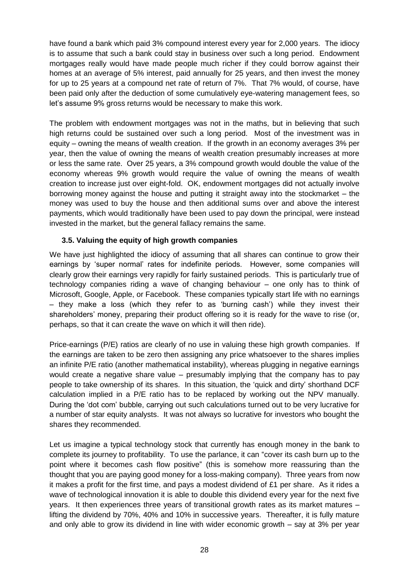have found a bank which paid 3% compound interest every year for 2,000 years. The idiocy is to assume that such a bank could stay in business over such a long period. Endowment mortgages really would have made people much richer if they could borrow against their homes at an average of 5% interest, paid annually for 25 years, and then invest the money for up to 25 years at a compound net rate of return of 7%. That 7% would, of course, have been paid only after the deduction of some cumulatively eye-watering management fees, so let's assume 9% gross returns would be necessary to make this work.

The problem with endowment mortgages was not in the maths, but in believing that such high returns could be sustained over such a long period. Most of the investment was in equity – owning the means of wealth creation. If the growth in an economy averages 3% per year, then the value of owning the means of wealth creation presumably increases at more or less the same rate. Over 25 years, a 3% compound growth would double the value of the economy whereas 9% growth would require the value of owning the means of wealth creation to increase just over eight-fold. OK, endowment mortgages did not actually involve borrowing money against the house and putting it straight away into the stockmarket – the money was used to buy the house and then additional sums over and above the interest payments, which would traditionally have been used to pay down the principal, were instead invested in the market, but the general fallacy remains the same.

# **3.5. Valuing the equity of high growth companies**

We have just highlighted the idiocy of assuming that all shares can continue to grow their earnings by 'super normal' rates for indefinite periods. However, some companies will clearly grow their earnings very rapidly for fairly sustained periods. This is particularly true of technology companies riding a wave of changing behaviour – one only has to think of Microsoft, Google, Apple, or Facebook. These companies typically start life with no earnings – they make a loss (which they refer to as 'burning cash') while they invest their shareholders' money, preparing their product offering so it is ready for the wave to rise (or, perhaps, so that it can create the wave on which it will then ride).

Price-earnings (P/E) ratios are clearly of no use in valuing these high growth companies. If the earnings are taken to be zero then assigning any price whatsoever to the shares implies an infinite P/E ratio (another mathematical instability), whereas plugging in negative earnings would create a negative share value – presumably implying that the company has to pay people to take ownership of its shares. In this situation, the 'quick and dirty' shorthand DCF calculation implied in a P/E ratio has to be replaced by working out the NPV manually. During the 'dot com' bubble, carrying out such calculations turned out to be very lucrative for a number of star equity analysts. It was not always so lucrative for investors who bought the shares they recommended.

Let us imagine a typical technology stock that currently has enough money in the bank to complete its journey to profitability. To use the parlance, it can "cover its cash burn up to the point where it becomes cash flow positive" (this is somehow more reassuring than the thought that you are paying good money for a loss-making company). Three years from now it makes a profit for the first time, and pays a modest dividend of £1 per share. As it rides a wave of technological innovation it is able to double this dividend every year for the next five years. It then experiences three years of transitional growth rates as its market matures – lifting the dividend by 70%, 40% and 10% in successive years. Thereafter, it is fully mature and only able to grow its dividend in line with wider economic growth – say at 3% per year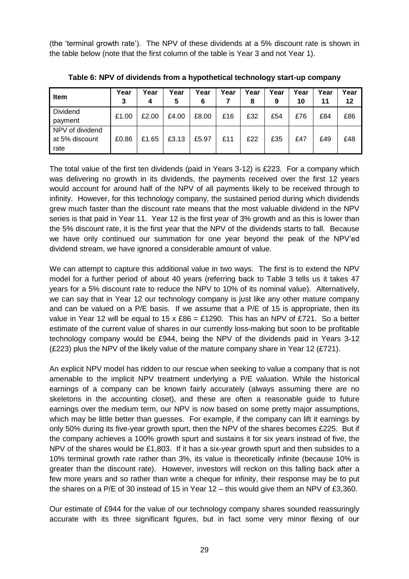(the 'terminal growth rate'). The NPV of these dividends at a 5% discount rate is shown in the table below (note that the first column of the table is Year 3 and not Year 1).

| <b>Item</b>                               | Year<br>3 | Year<br>4 | Year<br>5 | Year<br>6 | Year | Year<br>8 | Year<br>9 | Year<br>10 | Year<br>11 | Year<br>12 |
|-------------------------------------------|-----------|-----------|-----------|-----------|------|-----------|-----------|------------|------------|------------|
| Dividend<br>payment                       | £1.00     | £2.00     | £4.00     | £8.00     | £16  | £32       | £54       | £76        | £84        | £86        |
| NPV of dividend<br>at 5% discount<br>rate | £0.86     | £1.65     | £3.13     | £5.97     | £11  | £22       | £35       | £47        | £49        | £48        |

**Table 6: NPV of dividends from a hypothetical technology start-up company**

The total value of the first ten dividends (paid in Years 3-12) is £223. For a company which was delivering no growth in its dividends, the payments received over the first 12 years would account for around half of the NPV of all payments likely to be received through to infinity. However, for this technology company, the sustained period during which dividends grew much faster than the discount rate means that the most valuable dividend in the NPV series is that paid in Year 11. Year 12 is the first year of 3% growth and as this is lower than the 5% discount rate, it is the first year that the NPV of the dividends starts to fall. Because we have only continued our summation for one year beyond the peak of the NPV'ed dividend stream, we have ignored a considerable amount of value.

We can attempt to capture this additional value in two ways. The first is to extend the NPV model for a further period of about 40 years (referring back to Table 3 tells us it takes 47 years for a 5% discount rate to reduce the NPV to 10% of its nominal value). Alternatively, we can say that in Year 12 our technology company is just like any other mature company and can be valued on a P/E basis. If we assume that a P/E of 15 is appropriate, then its value in Year 12 will be equal to 15 x  $£86 = £1290$ . This has an NPV of £721. So a better estimate of the current value of shares in our currently loss-making but soon to be profitable technology company would be £944, being the NPV of the dividends paid in Years 3-12 (£223) plus the NPV of the likely value of the mature company share in Year 12 (£721).

An explicit NPV model has ridden to our rescue when seeking to value a company that is not amenable to the implicit NPV treatment underlying a P/E valuation. While the historical earnings of a company can be known fairly accurately (always assuming there are no skeletons in the accounting closet), and these are often a reasonable guide to future earnings over the medium term, our NPV is now based on some pretty major assumptions, which may be little better than guesses. For example, if the company can lift it earnings by only 50% during its five-year growth spurt, then the NPV of the shares becomes £225. But if the company achieves a 100% growth spurt and sustains it for six years instead of five, the NPV of the shares would be £1,803. If it has a six-year growth spurt and then subsides to a 10% terminal growth rate rather than 3%, its value is theoretically infinite (because 10% is greater than the discount rate). However, investors will reckon on this falling back after a few more years and so rather than write a cheque for infinity, their response may be to put the shares on a P/E of 30 instead of 15 in Year 12 – this would give them an NPV of £3,360.

Our estimate of £944 for the value of our technology company shares sounded reassuringly accurate with its three significant figures, but in fact some very minor flexing of our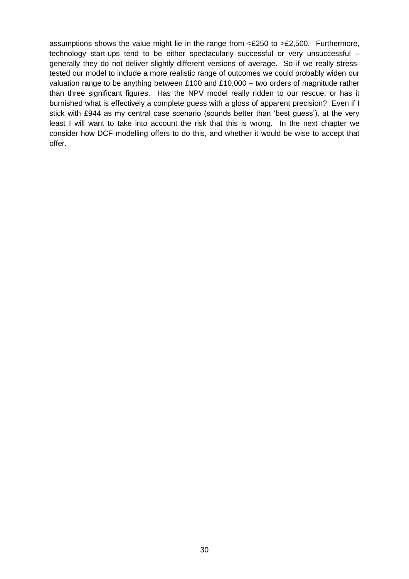assumptions shows the value might lie in the range from <£250 to >£2,500. Furthermore, technology start-ups tend to be either spectacularly successful or very unsuccessful – generally they do not deliver slightly different versions of average. So if we really stresstested our model to include a more realistic range of outcomes we could probably widen our valuation range to be anything between £100 and £10,000 – two orders of magnitude rather than three significant figures. Has the NPV model really ridden to our rescue, or has it burnished what is effectively a complete guess with a gloss of apparent precision? Even if I stick with £944 as my central case scenario (sounds better than 'best guess'), at the very least I will want to take into account the risk that this is wrong. In the next chapter we consider how DCF modelling offers to do this, and whether it would be wise to accept that offer.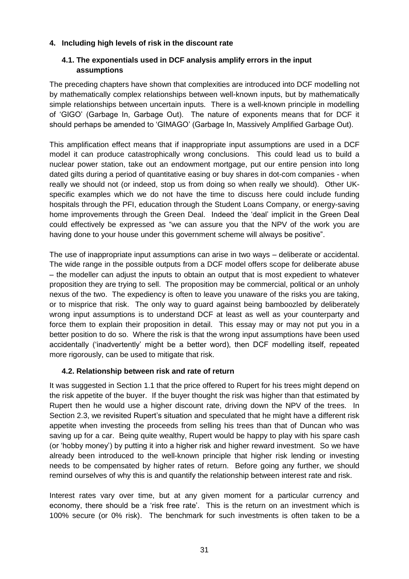#### **4. Including high levels of risk in the discount rate**

#### **4.1. The exponentials used in DCF analysis amplify errors in the input assumptions**

The preceding chapters have shown that complexities are introduced into DCF modelling not by mathematically complex relationships between well-known inputs, but by mathematically simple relationships between uncertain inputs. There is a well-known principle in modelling of 'GIGO' (Garbage In, Garbage Out). The nature of exponents means that for DCF it should perhaps be amended to 'GIMAGO' (Garbage In, Massively Amplified Garbage Out).

This amplification effect means that if inappropriate input assumptions are used in a DCF model it can produce catastrophically wrong conclusions. This could lead us to build a nuclear power station, take out an endowment mortgage, put our entire pension into long dated gilts during a period of quantitative easing or buy shares in dot-com companies - when really we should not (or indeed, stop us from doing so when really we should). Other UKspecific examples which we do not have the time to discuss here could include funding hospitals through the PFI, education through the Student Loans Company, or energy-saving home improvements through the Green Deal. Indeed the 'deal' implicit in the Green Deal could effectively be expressed as "we can assure you that the NPV of the work you are having done to your house under this government scheme will always be positive".

The use of inappropriate input assumptions can arise in two ways – deliberate or accidental. The wide range in the possible outputs from a DCF model offers scope for deliberate abuse – the modeller can adjust the inputs to obtain an output that is most expedient to whatever proposition they are trying to sell. The proposition may be commercial, political or an unholy nexus of the two. The expediency is often to leave you unaware of the risks you are taking, or to misprice that risk. The only way to guard against being bamboozled by deliberately wrong input assumptions is to understand DCF at least as well as your counterparty and force them to explain their proposition in detail. This essay may or may not put you in a better position to do so. Where the risk is that the wrong input assumptions have been used accidentally ('inadvertently' might be a better word), then DCF modelling itself, repeated more rigorously, can be used to mitigate that risk.

#### **4.2. Relationship between risk and rate of return**

It was suggested in Section 1.1 that the price offered to Rupert for his trees might depend on the risk appetite of the buyer. If the buyer thought the risk was higher than that estimated by Rupert then he would use a higher discount rate, driving down the NPV of the trees. In Section 2.3, we revisited Rupert's situation and speculated that he might have a different risk appetite when investing the proceeds from selling his trees than that of Duncan who was saving up for a car. Being quite wealthy, Rupert would be happy to play with his spare cash (or 'hobby money') by putting it into a higher risk and higher reward investment. So we have already been introduced to the well-known principle that higher risk lending or investing needs to be compensated by higher rates of return. Before going any further, we should remind ourselves of why this is and quantify the relationship between interest rate and risk.

Interest rates vary over time, but at any given moment for a particular currency and economy, there should be a 'risk free rate'. This is the return on an investment which is 100% secure (or 0% risk). The benchmark for such investments is often taken to be a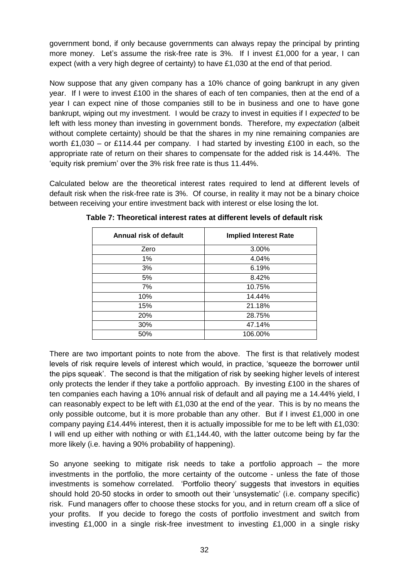government bond, if only because governments can always repay the principal by printing more money. Let's assume the risk-free rate is 3%. If I invest £1,000 for a year, I can expect (with a very high degree of certainty) to have £1,030 at the end of that period.

Now suppose that any given company has a 10% chance of going bankrupt in any given year. If I were to invest £100 in the shares of each of ten companies, then at the end of a year I can expect nine of those companies still to be in business and one to have gone bankrupt, wiping out my investment. I would be crazy to invest in equities if I *expected* to be left with less money than investing in government bonds. Therefore, my *expectation* (albeit without complete certainty) should be that the shares in my nine remaining companies are worth £1,030 – or £114.44 per company. I had started by investing £100 in each, so the appropriate rate of return on their shares to compensate for the added risk is 14.44%. The 'equity risk premium' over the 3% risk free rate is thus 11.44%.

Calculated below are the theoretical interest rates required to lend at different levels of default risk when the risk-free rate is 3%. Of course, in reality it may not be a binary choice between receiving your entire investment back with interest or else losing the lot.

| Annual risk of default | <b>Implied Interest Rate</b> |
|------------------------|------------------------------|
| Zero                   | 3.00%                        |
| $1\%$                  | 4.04%                        |
| 3%                     | 6.19%                        |
| 5%                     | 8.42%                        |
| 7%                     | 10.75%                       |
| 10%                    | 14.44%                       |
| 15%                    | 21.18%                       |
| 20%                    | 28.75%                       |
| 30%                    | 47.14%                       |
| 50%                    | 106.00%                      |

**Table 7: Theoretical interest rates at different levels of default risk**

There are two important points to note from the above. The first is that relatively modest levels of risk require levels of interest which would, in practice, 'squeeze the borrower until the pips squeak'. The second is that the mitigation of risk by seeking higher levels of interest only protects the lender if they take a portfolio approach. By investing £100 in the shares of ten companies each having a 10% annual risk of default and all paying me a 14.44% yield, I can reasonably expect to be left with £1,030 at the end of the year. This is by no means the only possible outcome, but it is more probable than any other. But if I invest £1,000 in one company paying £14.44% interest, then it is actually impossible for me to be left with £1,030: I will end up either with nothing or with £1,144.40, with the latter outcome being by far the more likely (i.e. having a 90% probability of happening).

So anyone seeking to mitigate risk needs to take a portfolio approach – the more investments in the portfolio, the more certainty of the outcome - unless the fate of those investments is somehow correlated. 'Portfolio theory' suggests that investors in equities should hold 20-50 stocks in order to smooth out their 'unsystematic' (i.e. company specific) risk. Fund managers offer to choose these stocks for you, and in return cream off a slice of your profits. If you decide to forego the costs of portfolio investment and switch from investing £1,000 in a single risk-free investment to investing £1,000 in a single risky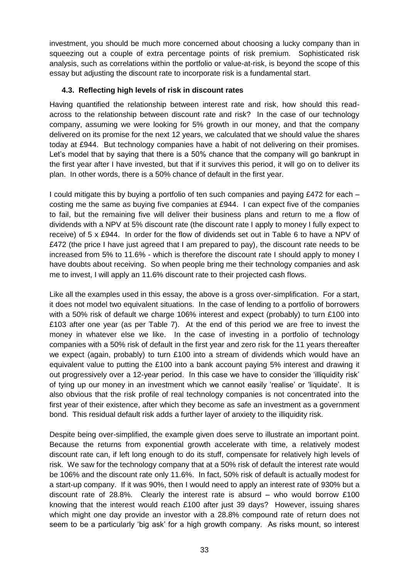investment, you should be much more concerned about choosing a lucky company than in squeezing out a couple of extra percentage points of risk premium. Sophisticated risk analysis, such as correlations within the portfolio or value-at-risk, is beyond the scope of this essay but adjusting the discount rate to incorporate risk is a fundamental start.

# **4.3. Reflecting high levels of risk in discount rates**

Having quantified the relationship between interest rate and risk, how should this readacross to the relationship between discount rate and risk? In the case of our technology company, assuming we were looking for 5% growth in our money, and that the company delivered on its promise for the next 12 years, we calculated that we should value the shares today at £944. But technology companies have a habit of not delivering on their promises. Let's model that by saying that there is a 50% chance that the company will go bankrupt in the first year after I have invested, but that if it survives this period, it will go on to deliver its plan. In other words, there is a 50% chance of default in the first year.

I could mitigate this by buying a portfolio of ten such companies and paying £472 for each  $$ costing me the same as buying five companies at £944. I can expect five of the companies to fail, but the remaining five will deliver their business plans and return to me a flow of dividends with a NPV at 5% discount rate (the discount rate I apply to money I fully expect to receive) of 5 x £944. In order for the flow of dividends set out in Table 6 to have a NPV of £472 (the price I have just agreed that I am prepared to pay), the discount rate needs to be increased from 5% to 11.6% - which is therefore the discount rate I should apply to money I have doubts about receiving. So when people bring me their technology companies and ask me to invest, I will apply an 11.6% discount rate to their projected cash flows.

Like all the examples used in this essay, the above is a gross over-simplification. For a start, it does not model two equivalent situations. In the case of lending to a portfolio of borrowers with a 50% risk of default we charge 106% interest and expect (probably) to turn £100 into £103 after one year (as per Table 7). At the end of this period we are free to invest the money in whatever else we like. In the case of investing in a portfolio of technology companies with a 50% risk of default in the first year and zero risk for the 11 years thereafter we expect (again, probably) to turn £100 into a stream of dividends which would have an equivalent value to putting the £100 into a bank account paying 5% interest and drawing it out progressively over a 12-year period. In this case we have to consider the 'illiquidity risk' of tying up our money in an investment which we cannot easily 'realise' or 'liquidate'. It is also obvious that the risk profile of real technology companies is not concentrated into the first year of their existence, after which they become as safe an investment as a government bond. This residual default risk adds a further layer of anxiety to the illiquidity risk.

Despite being over-simplified, the example given does serve to illustrate an important point. Because the returns from exponential growth accelerate with time, a relatively modest discount rate can, if left long enough to do its stuff, compensate for relatively high levels of risk. We saw for the technology company that at a 50% risk of default the interest rate would be 106% and the discount rate only 11.6%. In fact, 50% risk of default is actually modest for a start-up company. If it was 90%, then I would need to apply an interest rate of 930% but a discount rate of 28.8%. Clearly the interest rate is absurd – who would borrow £100 knowing that the interest would reach £100 after just 39 days? However, issuing shares which might one day provide an investor with a 28.8% compound rate of return does not seem to be a particularly 'big ask' for a high growth company. As risks mount, so interest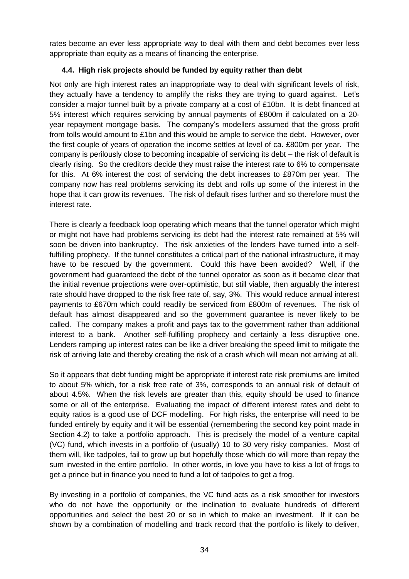rates become an ever less appropriate way to deal with them and debt becomes ever less appropriate than equity as a means of financing the enterprise.

# **4.4. High risk projects should be funded by equity rather than debt**

Not only are high interest rates an inappropriate way to deal with significant levels of risk, they actually have a tendency to amplify the risks they are trying to guard against. Let's consider a major tunnel built by a private company at a cost of £10bn. It is debt financed at 5% interest which requires servicing by annual payments of £800m if calculated on a 20 year repayment mortgage basis. The company's modellers assumed that the gross profit from tolls would amount to £1bn and this would be ample to service the debt. However, over the first couple of years of operation the income settles at level of ca. £800m per year. The company is perilously close to becoming incapable of servicing its debt – the risk of default is clearly rising. So the creditors decide they must raise the interest rate to 6% to compensate for this. At 6% interest the cost of servicing the debt increases to £870m per year. The company now has real problems servicing its debt and rolls up some of the interest in the hope that it can grow its revenues. The risk of default rises further and so therefore must the interest rate.

There is clearly a feedback loop operating which means that the tunnel operator which might or might not have had problems servicing its debt had the interest rate remained at 5% will soon be driven into bankruptcy. The risk anxieties of the lenders have turned into a selffulfilling prophecy. If the tunnel constitutes a critical part of the national infrastructure, it may have to be rescued by the government. Could this have been avoided? Well, if the government had guaranteed the debt of the tunnel operator as soon as it became clear that the initial revenue projections were over-optimistic, but still viable, then arguably the interest rate should have dropped to the risk free rate of, say, 3%. This would reduce annual interest payments to £670m which could readily be serviced from £800m of revenues. The risk of default has almost disappeared and so the government guarantee is never likely to be called. The company makes a profit and pays tax to the government rather than additional interest to a bank. Another self-fulfilling prophecy and certainly a less disruptive one. Lenders ramping up interest rates can be like a driver breaking the speed limit to mitigate the risk of arriving late and thereby creating the risk of a crash which will mean not arriving at all.

So it appears that debt funding might be appropriate if interest rate risk premiums are limited to about 5% which, for a risk free rate of 3%, corresponds to an annual risk of default of about 4.5%. When the risk levels are greater than this, equity should be used to finance some or all of the enterprise. Evaluating the impact of different interest rates and debt to equity ratios is a good use of DCF modelling. For high risks, the enterprise will need to be funded entirely by equity and it will be essential (remembering the second key point made in Section 4.2) to take a portfolio approach. This is precisely the model of a venture capital (VC) fund, which invests in a portfolio of (usually) 10 to 30 very risky companies. Most of them will, like tadpoles, fail to grow up but hopefully those which do will more than repay the sum invested in the entire portfolio. In other words, in love you have to kiss a lot of frogs to get a prince but in finance you need to fund a lot of tadpoles to get a frog.

By investing in a portfolio of companies, the VC fund acts as a risk smoother for investors who do not have the opportunity or the inclination to evaluate hundreds of different opportunities and select the best 20 or so in which to make an investment. If it can be shown by a combination of modelling and track record that the portfolio is likely to deliver,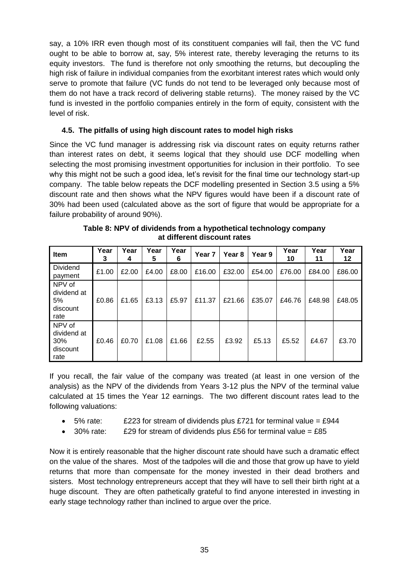say, a 10% IRR even though most of its constituent companies will fail, then the VC fund ought to be able to borrow at, say, 5% interest rate, thereby leveraging the returns to its equity investors. The fund is therefore not only smoothing the returns, but decoupling the high risk of failure in individual companies from the exorbitant interest rates which would only serve to promote that failure (VC funds do not tend to be leveraged only because most of them do not have a track record of delivering stable returns). The money raised by the VC fund is invested in the portfolio companies entirely in the form of equity, consistent with the level of risk.

# **4.5. The pitfalls of using high discount rates to model high risks**

Since the VC fund manager is addressing risk via discount rates on equity returns rather than interest rates on debt, it seems logical that they should use DCF modelling when selecting the most promising investment opportunities for inclusion in their portfolio. To see why this might not be such a good idea, let's revisit for the final time our technology start-up company. The table below repeats the DCF modelling presented in Section 3.5 using a 5% discount rate and then shows what the NPV figures would have been if a discount rate of 30% had been used (calculated above as the sort of figure that would be appropriate for a failure probability of around 90%).

| <b>Item</b>                                      | Year<br>3 | Year<br>4 | Year<br>5 | Year<br>6 | Year <sub>7</sub> | Year <sub>8</sub> | Year 9 | Year<br>10 | Year<br>11 | Year<br>12 |
|--------------------------------------------------|-----------|-----------|-----------|-----------|-------------------|-------------------|--------|------------|------------|------------|
| <b>Dividend</b><br>payment                       | £1.00     | £2.00     | £4.00     | £8.00     | £16.00            | £32.00            | £54.00 | £76.00     | £84.00     | £86.00     |
| NPV of<br>dividend at<br>5%<br>discount<br>rate  | £0.86     | £1.65     | £3.13     | £5.97     | £11.37            | £21.66            | £35.07 | £46.76     | £48.98     | £48.05     |
| NPV of<br>dividend at<br>30%<br>discount<br>rate | £0.46     | £0.70     | £1.08     | £1.66     | £2.55             | £3.92             | £5.13  | £5.52      | £4.67      | £3.70      |

| Table 8: NPV of dividends from a hypothetical technology company |
|------------------------------------------------------------------|
| at different discount rates                                      |

If you recall, the fair value of the company was treated (at least in one version of the analysis) as the NPV of the dividends from Years 3-12 plus the NPV of the terminal value calculated at 15 times the Year 12 earnings. The two different discount rates lead to the following valuations:

- $\bullet$  5% rate: E223 for stream of dividends plus £721 for terminal value = £944
- $\bullet$  30% rate: £29 for stream of dividends plus £56 for terminal value = £85

Now it is entirely reasonable that the higher discount rate should have such a dramatic effect on the value of the shares. Most of the tadpoles will die and those that grow up have to yield returns that more than compensate for the money invested in their dead brothers and sisters. Most technology entrepreneurs accept that they will have to sell their birth right at a huge discount. They are often pathetically grateful to find anyone interested in investing in early stage technology rather than inclined to argue over the price.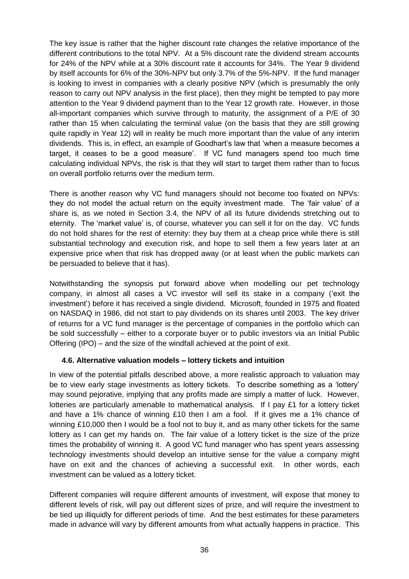The key issue is rather that the higher discount rate changes the relative importance of the different contributions to the total NPV. At a 5% discount rate the dividend stream accounts for 24% of the NPV while at a 30% discount rate it accounts for 34%. The Year 9 dividend by itself accounts for 6% of the 30%-NPV but only 3.7% of the 5%-NPV. If the fund manager is looking to invest in companies with a clearly positive NPV (which is presumably the only reason to carry out NPV analysis in the first place), then they might be tempted to pay more attention to the Year 9 dividend payment than to the Year 12 growth rate. However, in those all-important companies which survive through to maturity, the assignment of a P/E of 30 rather than 15 when calculating the terminal value (on the basis that they are still growing quite rapidly in Year 12) will in reality be much more important than the value of any interim dividends. This is, in effect, an example of Goodhart's law that 'when a measure becomes a target, it ceases to be a good measure'. If VC fund managers spend too much time calculating individual NPVs, the risk is that they will start to target them rather than to focus on overall portfolio returns over the medium term.

There is another reason why VC fund managers should not become too fixated on NPVs: they do not model the actual return on the equity investment made. The 'fair value' of a share is, as we noted in Section 3.4, the NPV of all its future dividends stretching out to eternity. The 'market value' is, of course, whatever you can sell it for on the day. VC funds do not hold shares for the rest of eternity: they buy them at a cheap price while there is still substantial technology and execution risk, and hope to sell them a few years later at an expensive price when that risk has dropped away (or at least when the public markets can be persuaded to believe that it has).

Notwithstanding the synopsis put forward above when modelling our pet technology company, in almost all cases a VC investor will sell its stake in a company ('exit the investment') before it has received a single dividend. Microsoft, founded in 1975 and floated on NASDAQ in 1986, did not start to pay dividends on its shares until 2003. The key driver of returns for a VC fund manager is the percentage of companies in the portfolio which can be sold successfully – either to a corporate buyer or to public investors via an Initial Public Offering (IPO) – and the size of the windfall achieved at the point of exit.

# **4.6. Alternative valuation models – lottery tickets and intuition**

In view of the potential pitfalls described above, a more realistic approach to valuation may be to view early stage investments as lottery tickets. To describe something as a 'lottery' may sound pejorative, implying that any profits made are simply a matter of luck. However, lotteries are particularly amenable to mathematical analysis. If I pay £1 for a lottery ticket and have a 1% chance of winning £10 then I am a fool. If it gives me a 1% chance of winning £10,000 then I would be a fool not to buy it, and as many other tickets for the same lottery as I can get my hands on. The fair value of a lottery ticket is the size of the prize times the probability of winning it. A good VC fund manager who has spent years assessing technology investments should develop an intuitive sense for the value a company might have on exit and the chances of achieving a successful exit. In other words, each investment can be valued as a lottery ticket.

Different companies will require different amounts of investment, will expose that money to different levels of risk, will pay out different sizes of prize, and will require the investment to be tied up illiquidly for different periods of time. And the best estimates for these parameters made in advance will vary by different amounts from what actually happens in practice. This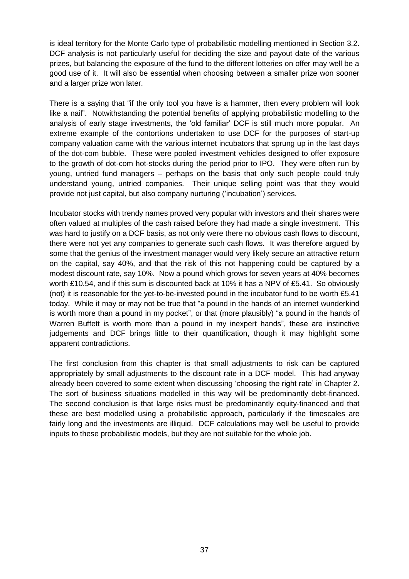is ideal territory for the Monte Carlo type of probabilistic modelling mentioned in Section 3.2. DCF analysis is not particularly useful for deciding the size and payout date of the various prizes, but balancing the exposure of the fund to the different lotteries on offer may well be a good use of it. It will also be essential when choosing between a smaller prize won sooner and a larger prize won later.

There is a saying that "if the only tool you have is a hammer, then every problem will look like a nail". Notwithstanding the potential benefits of applying probabilistic modelling to the analysis of early stage investments, the 'old familiar' DCF is still much more popular. An extreme example of the contortions undertaken to use DCF for the purposes of start-up company valuation came with the various internet incubators that sprung up in the last days of the dot-com bubble. These were pooled investment vehicles designed to offer exposure to the growth of dot-com hot-stocks during the period prior to IPO. They were often run by young, untried fund managers – perhaps on the basis that only such people could truly understand young, untried companies. Their unique selling point was that they would provide not just capital, but also company nurturing ('incubation') services.

Incubator stocks with trendy names proved very popular with investors and their shares were often valued at multiples of the cash raised before they had made a single investment. This was hard to justify on a DCF basis, as not only were there no obvious cash flows to discount, there were not yet any companies to generate such cash flows. It was therefore argued by some that the genius of the investment manager would very likely secure an attractive return on the capital, say 40%, and that the risk of this not happening could be captured by a modest discount rate, say 10%. Now a pound which grows for seven years at 40% becomes worth £10.54, and if this sum is discounted back at 10% it has a NPV of £5.41. So obviously (not) it is reasonable for the yet-to-be-invested pound in the incubator fund to be worth £5.41 today. While it may or may not be true that "a pound in the hands of an internet wunderkind is worth more than a pound in my pocket", or that (more plausibly) "a pound in the hands of Warren Buffett is worth more than a pound in my inexpert hands", these are instinctive judgements and DCF brings little to their quantification, though it may highlight some apparent contradictions.

The first conclusion from this chapter is that small adjustments to risk can be captured appropriately by small adjustments to the discount rate in a DCF model. This had anyway already been covered to some extent when discussing 'choosing the right rate' in Chapter 2. The sort of business situations modelled in this way will be predominantly debt-financed. The second conclusion is that large risks must be predominantly equity-financed and that these are best modelled using a probabilistic approach, particularly if the timescales are fairly long and the investments are illiquid. DCF calculations may well be useful to provide inputs to these probabilistic models, but they are not suitable for the whole job.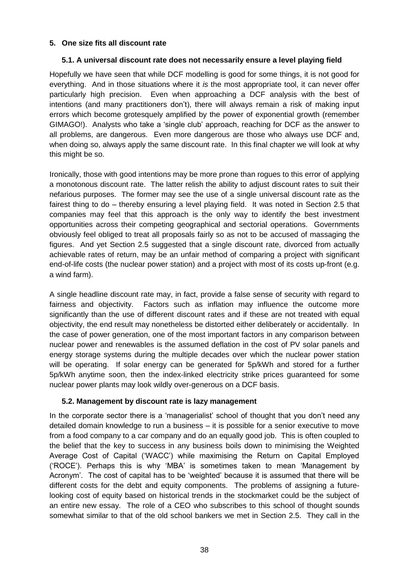#### **5. One size fits all discount rate**

#### **5.1. A universal discount rate does not necessarily ensure a level playing field**

Hopefully we have seen that while DCF modelling is good for some things, it is not good for everything. And in those situations where it *is* the most appropriate tool, it can never offer particularly high precision. Even when approaching a DCF analysis with the best of intentions (and many practitioners don't), there will always remain a risk of making input errors which become grotesquely amplified by the power of exponential growth (remember GIMAGO!). Analysts who take a 'single club' approach, reaching for DCF as the answer to all problems, are dangerous. Even more dangerous are those who always use DCF and, when doing so, always apply the same discount rate. In this final chapter we will look at why this might be so.

Ironically, those with good intentions may be more prone than rogues to this error of applying a monotonous discount rate. The latter relish the ability to adjust discount rates to suit their nefarious purposes. The former may see the use of a single universal discount rate as the fairest thing to do – thereby ensuring a level playing field. It was noted in Section 2.5 that companies may feel that this approach is the only way to identify the best investment opportunities across their competing geographical and sectorial operations. Governments obviously feel obliged to treat all proposals fairly so as not to be accused of massaging the figures. And yet Section 2.5 suggested that a single discount rate, divorced from actually achievable rates of return, may be an unfair method of comparing a project with significant end-of-life costs (the nuclear power station) and a project with most of its costs up-front (e.g. a wind farm).

A single headline discount rate may, in fact, provide a false sense of security with regard to fairness and objectivity. Factors such as inflation may influence the outcome more significantly than the use of different discount rates and if these are not treated with equal objectivity, the end result may nonetheless be distorted either deliberately or accidentally. In the case of power generation, one of the most important factors in any comparison between nuclear power and renewables is the assumed deflation in the cost of PV solar panels and energy storage systems during the multiple decades over which the nuclear power station will be operating. If solar energy can be generated for 5p/kWh and stored for a further 5p/kWh anytime soon, then the index-linked electricity strike prices guaranteed for some nuclear power plants may look wildly over-generous on a DCF basis.

#### **5.2. Management by discount rate is lazy management**

In the corporate sector there is a 'managerialist' school of thought that you don't need any detailed domain knowledge to run a business – it is possible for a senior executive to move from a food company to a car company and do an equally good job. This is often coupled to the belief that the key to success in any business boils down to minimising the Weighted Average Cost of Capital ('WACC') while maximising the Return on Capital Employed ('ROCE'). Perhaps this is why 'MBA' is sometimes taken to mean 'Management by Acronym'. The cost of capital has to be 'weighted' because it is assumed that there will be different costs for the debt and equity components. The problems of assigning a futurelooking cost of equity based on historical trends in the stockmarket could be the subject of an entire new essay. The role of a CEO who subscribes to this school of thought sounds somewhat similar to that of the old school bankers we met in Section 2.5. They call in the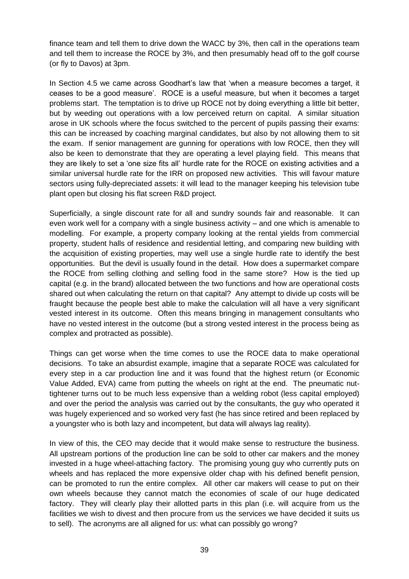finance team and tell them to drive down the WACC by 3%, then call in the operations team and tell them to increase the ROCE by 3%, and then presumably head off to the golf course (or fly to Davos) at 3pm.

In Section 4.5 we came across Goodhart's law that 'when a measure becomes a target, it ceases to be a good measure'. ROCE is a useful measure, but when it becomes a target problems start. The temptation is to drive up ROCE not by doing everything a little bit better, but by weeding out operations with a low perceived return on capital. A similar situation arose in UK schools where the focus switched to the percent of pupils passing their exams: this can be increased by coaching marginal candidates, but also by not allowing them to sit the exam. If senior management are gunning for operations with low ROCE, then they will also be keen to demonstrate that they are operating a level playing field. This means that they are likely to set a 'one size fits all' hurdle rate for the ROCE on existing activities and a similar universal hurdle rate for the IRR on proposed new activities. This will favour mature sectors using fully-depreciated assets: it will lead to the manager keeping his television tube plant open but closing his flat screen R&D project.

Superficially, a single discount rate for all and sundry sounds fair and reasonable. It can even work well for a company with a single business activity – and one which is amenable to modelling. For example, a property company looking at the rental yields from commercial property, student halls of residence and residential letting, and comparing new building with the acquisition of existing properties, may well use a single hurdle rate to identify the best opportunities. But the devil is usually found in the detail. How does a supermarket compare the ROCE from selling clothing and selling food in the same store? How is the tied up capital (e.g. in the brand) allocated between the two functions and how are operational costs shared out when calculating the return on that capital? Any attempt to divide up costs will be fraught because the people best able to make the calculation will all have a very significant vested interest in its outcome. Often this means bringing in management consultants who have no vested interest in the outcome (but a strong vested interest in the process being as complex and protracted as possible).

Things can get worse when the time comes to use the ROCE data to make operational decisions. To take an absurdist example, imagine that a separate ROCE was calculated for every step in a car production line and it was found that the highest return (or Economic Value Added, EVA) came from putting the wheels on right at the end. The pneumatic nuttightener turns out to be much less expensive than a welding robot (less capital employed) and over the period the analysis was carried out by the consultants, the guy who operated it was hugely experienced and so worked very fast (he has since retired and been replaced by a youngster who is both lazy and incompetent, but data will always lag reality).

In view of this, the CEO may decide that it would make sense to restructure the business. All upstream portions of the production line can be sold to other car makers and the money invested in a huge wheel-attaching factory. The promising young guy who currently puts on wheels and has replaced the more expensive older chap with his defined benefit pension, can be promoted to run the entire complex. All other car makers will cease to put on their own wheels because they cannot match the economies of scale of our huge dedicated factory. They will clearly play their allotted parts in this plan (i.e. will acquire from us the facilities we wish to divest and then procure from us the services we have decided it suits us to sell). The acronyms are all aligned for us: what can possibly go wrong?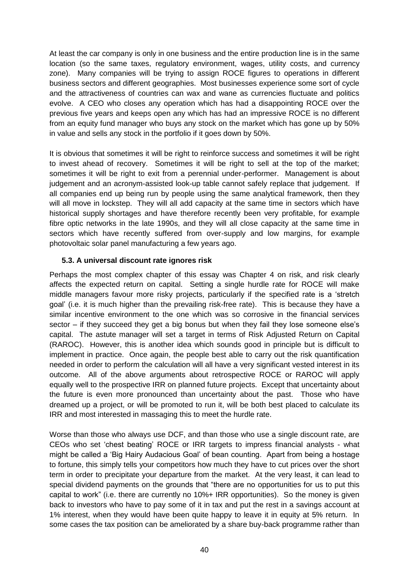At least the car company is only in one business and the entire production line is in the same location (so the same taxes, regulatory environment, wages, utility costs, and currency zone). Many companies will be trying to assign ROCE figures to operations in different business sectors and different geographies. Most businesses experience some sort of cycle and the attractiveness of countries can wax and wane as currencies fluctuate and politics evolve. A CEO who closes any operation which has had a disappointing ROCE over the previous five years and keeps open any which has had an impressive ROCE is no different from an equity fund manager who buys any stock on the market which has gone up by 50% in value and sells any stock in the portfolio if it goes down by 50%.

It is obvious that sometimes it will be right to reinforce success and sometimes it will be right to invest ahead of recovery. Sometimes it will be right to sell at the top of the market; sometimes it will be right to exit from a perennial under-performer. Management is about judgement and an acronym-assisted look-up table cannot safely replace that judgement. If all companies end up being run by people using the same analytical framework, then they will all move in lockstep. They will all add capacity at the same time in sectors which have historical supply shortages and have therefore recently been very profitable, for example fibre optic networks in the late 1990s, and they will all close capacity at the same time in sectors which have recently suffered from over-supply and low margins, for example photovoltaic solar panel manufacturing a few years ago.

#### **5.3. A universal discount rate ignores risk**

Perhaps the most complex chapter of this essay was Chapter 4 on risk, and risk clearly affects the expected return on capital. Setting a single hurdle rate for ROCE will make middle managers favour more risky projects, particularly if the specified rate is a 'stretch goal' (i.e. it is much higher than the prevailing risk-free rate). This is because they have a similar incentive environment to the one which was so corrosive in the financial services sector – if they succeed they get a big bonus but when they fail they lose someone else's capital. The astute manager will set a target in terms of Risk Adjusted Return on Capital (RAROC). However, this is another idea which sounds good in principle but is difficult to implement in practice. Once again, the people best able to carry out the risk quantification needed in order to perform the calculation will all have a very significant vested interest in its outcome. All of the above arguments about retrospective ROCE or RAROC will apply equally well to the prospective IRR on planned future projects. Except that uncertainty about the future is even more pronounced than uncertainty about the past. Those who have dreamed up a project, or will be promoted to run it, will be both best placed to calculate its IRR and most interested in massaging this to meet the hurdle rate.

Worse than those who always use DCF, and than those who use a single discount rate, are CEOs who set 'chest beating' ROCE or IRR targets to impress financial analysts - what might be called a 'Big Hairy Audacious Goal' of bean counting. Apart from being a hostage to fortune, this simply tells your competitors how much they have to cut prices over the short term in order to precipitate your departure from the market. At the very least, it can lead to special dividend payments on the grounds that "there are no opportunities for us to put this capital to work" (i.e. there are currently no 10%+ IRR opportunities). So the money is given back to investors who have to pay some of it in tax and put the rest in a savings account at 1% interest, when they would have been quite happy to leave it in equity at 5% return. In some cases the tax position can be ameliorated by a share buy-back programme rather than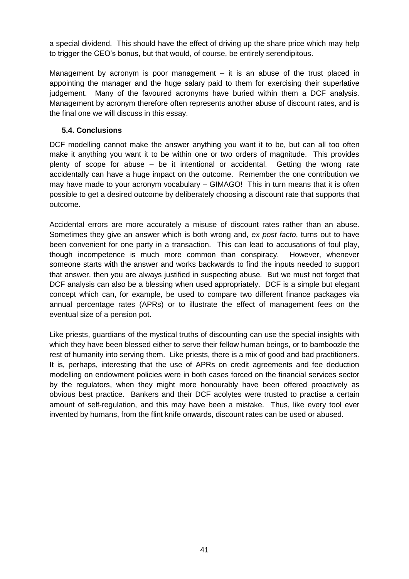a special dividend. This should have the effect of driving up the share price which may help to trigger the CEO's bonus, but that would, of course, be entirely serendipitous.

Management by acronym is poor management  $-$  it is an abuse of the trust placed in appointing the manager and the huge salary paid to them for exercising their superlative judgement. Many of the favoured acronyms have buried within them a DCF analysis. Management by acronym therefore often represents another abuse of discount rates, and is the final one we will discuss in this essay.

#### **5.4. Conclusions**

DCF modelling cannot make the answer anything you want it to be, but can all too often make it anything you want it to be within one or two orders of magnitude. This provides plenty of scope for abuse – be it intentional or accidental. Getting the wrong rate accidentally can have a huge impact on the outcome. Remember the one contribution we may have made to your acronym vocabulary – GIMAGO! This in turn means that it is often possible to get a desired outcome by deliberately choosing a discount rate that supports that outcome.

Accidental errors are more accurately a misuse of discount rates rather than an abuse. Sometimes they give an answer which is both wrong and, *ex post facto*, turns out to have been convenient for one party in a transaction. This can lead to accusations of foul play, though incompetence is much more common than conspiracy. However, whenever someone starts with the answer and works backwards to find the inputs needed to support that answer, then you are always justified in suspecting abuse. But we must not forget that DCF analysis can also be a blessing when used appropriately. DCF is a simple but elegant concept which can, for example, be used to compare two different finance packages via annual percentage rates (APRs) or to illustrate the effect of management fees on the eventual size of a pension pot.

Like priests, guardians of the mystical truths of discounting can use the special insights with which they have been blessed either to serve their fellow human beings, or to bamboozle the rest of humanity into serving them. Like priests, there is a mix of good and bad practitioners. It is, perhaps, interesting that the use of APRs on credit agreements and fee deduction modelling on endowment policies were in both cases forced on the financial services sector by the regulators, when they might more honourably have been offered proactively as obvious best practice. Bankers and their DCF acolytes were trusted to practise a certain amount of self-regulation, and this may have been a mistake. Thus, like every tool ever invented by humans, from the flint knife onwards, discount rates can be used or abused.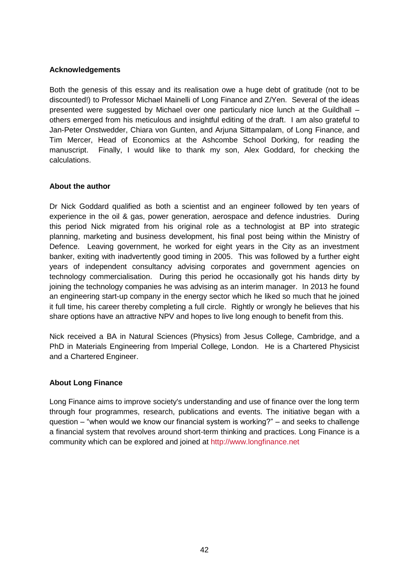#### **Acknowledgements**

Both the genesis of this essay and its realisation owe a huge debt of gratitude (not to be discounted!) to Professor Michael Mainelli of Long Finance and Z/Yen. Several of the ideas presented were suggested by Michael over one particularly nice lunch at the Guildhall – others emerged from his meticulous and insightful editing of the draft. I am also grateful to Jan-Peter Onstwedder, Chiara von Gunten, and Arjuna Sittampalam, of Long Finance, and Tim Mercer, Head of Economics at the Ashcombe School Dorking, for reading the manuscript. Finally, I would like to thank my son, Alex Goddard, for checking the calculations.

#### **About the author**

Dr Nick Goddard qualified as both a scientist and an engineer followed by ten years of experience in the oil & gas, power generation, aerospace and defence industries. During this period Nick migrated from his original role as a technologist at BP into strategic planning, marketing and business development, his final post being within the Ministry of Defence. Leaving government, he worked for eight years in the City as an investment banker, exiting with inadvertently good timing in 2005. This was followed by a further eight years of independent consultancy advising corporates and government agencies on technology commercialisation. During this period he occasionally got his hands dirty by joining the technology companies he was advising as an interim manager. In 2013 he found an engineering start-up company in the energy sector which he liked so much that he joined it full time, his career thereby completing a full circle. Rightly or wrongly he believes that his share options have an attractive NPV and hopes to live long enough to benefit from this.

Nick received a BA in Natural Sciences (Physics) from Jesus College, Cambridge, and a PhD in Materials Engineering from Imperial College, London. He is a Chartered Physicist and a Chartered Engineer.

#### **About Long Finance**

Long Finance aims to improve society's understanding and use of finance over the long term through four programmes, research, publications and events. The initiative began with a question – "when would we know our financial system is working?" – and seeks to challenge a financial system that revolves around short-term thinking and practices. Long Finance is a community which can be explored and joined at [http://www.longfinance.net](http://www.longfinance.net/)